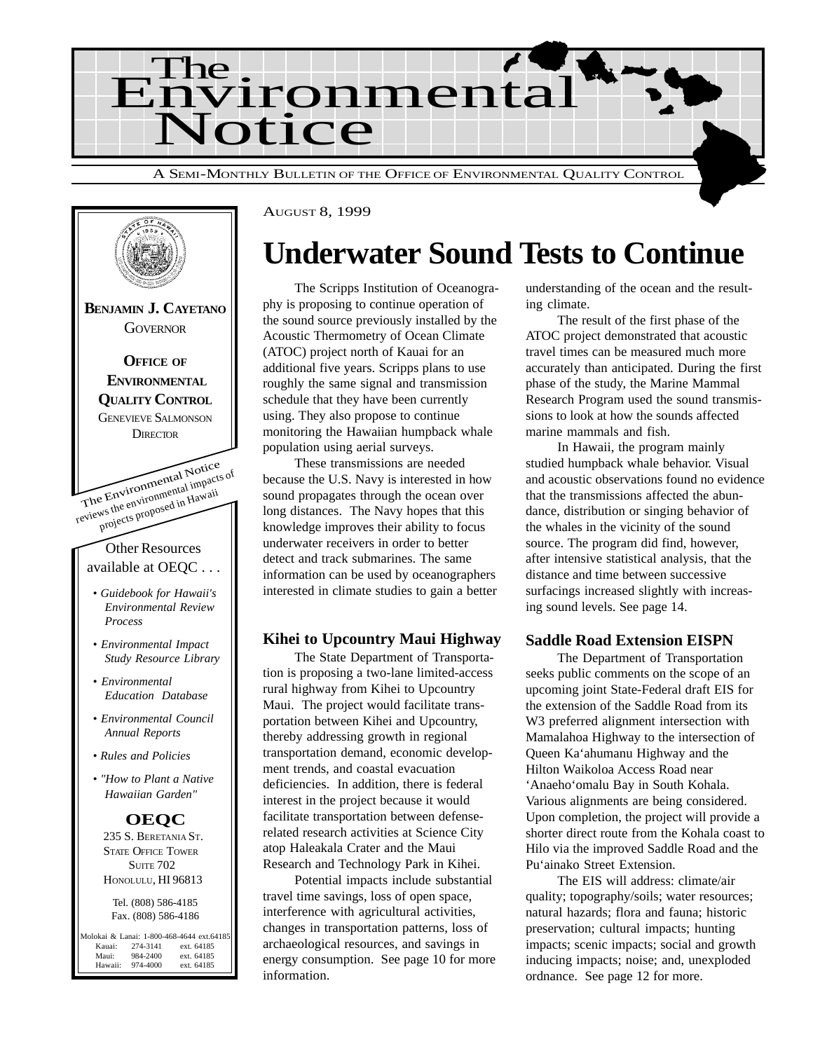



# **Underwater Sound Tests to Continue**

The Scripps Institution of Oceanography is proposing to continue operation of the sound source previously installed by the Acoustic Thermometry of Ocean Climate (ATOC) project north of Kauai for an additional five years. Scripps plans to use roughly the same signal and transmission schedule that they have been currently using. They also propose to continue monitoring the Hawaiian humpback whale population using aerial surveys.

These transmissions are needed because the U.S. Navy is interested in how sound propagates through the ocean over long distances. The Navy hopes that this knowledge improves their ability to focus underwater receivers in order to better detect and track submarines. The same information can be used by oceanographers interested in climate studies to gain a better

#### **Kihei to Upcountry Maui Highway**

The State Department of Transportation is proposing a two-lane limited-access rural highway from Kihei to Upcountry Maui. The project would facilitate transportation between Kihei and Upcountry, thereby addressing growth in regional transportation demand, economic development trends, and coastal evacuation deficiencies. In addition, there is federal interest in the project because it would facilitate transportation between defenserelated research activities at Science City atop Haleakala Crater and the Maui Research and Technology Park in Kihei.

Potential impacts include substantial travel time savings, loss of open space, interference with agricultural activities, changes in transportation patterns, loss of archaeological resources, and savings in energy consumption. See page 10 for more information.

understanding of the ocean and the resulting climate.

The result of the first phase of the ATOC project demonstrated that acoustic travel times can be measured much more accurately than anticipated. During the first phase of the study, the Marine Mammal Research Program used the sound transmissions to look at how the sounds affected marine mammals and fish.

In Hawaii, the program mainly studied humpback whale behavior. Visual and acoustic observations found no evidence that the transmissions affected the abundance, distribution or singing behavior of the whales in the vicinity of the sound source. The program did find, however, after intensive statistical analysis, that the distance and time between successive surfacings increased slightly with increasing sound levels. See page 14.

#### **Saddle Road Extension EISPN**

The Department of Transportation seeks public comments on the scope of an upcoming joint State-Federal draft EIS for the extension of the Saddle Road from its W3 preferred alignment intersection with Mamalahoa Highway to the intersection of Queen Ka'ahumanu Highway and the Hilton Waikoloa Access Road near 'Anaeho'omalu Bay in South Kohala. Various alignments are being considered. Upon completion, the project will provide a shorter direct route from the Kohala coast to Hilo via the improved Saddle Road and the Pu'ainako Street Extension.

The EIS will address: climate/air quality; topography/soils; water resources; natural hazards; flora and fauna; historic preservation; cultural impacts; hunting impacts; scenic impacts; social and growth inducing impacts; noise; and, unexploded ordnance. See page 12 for more.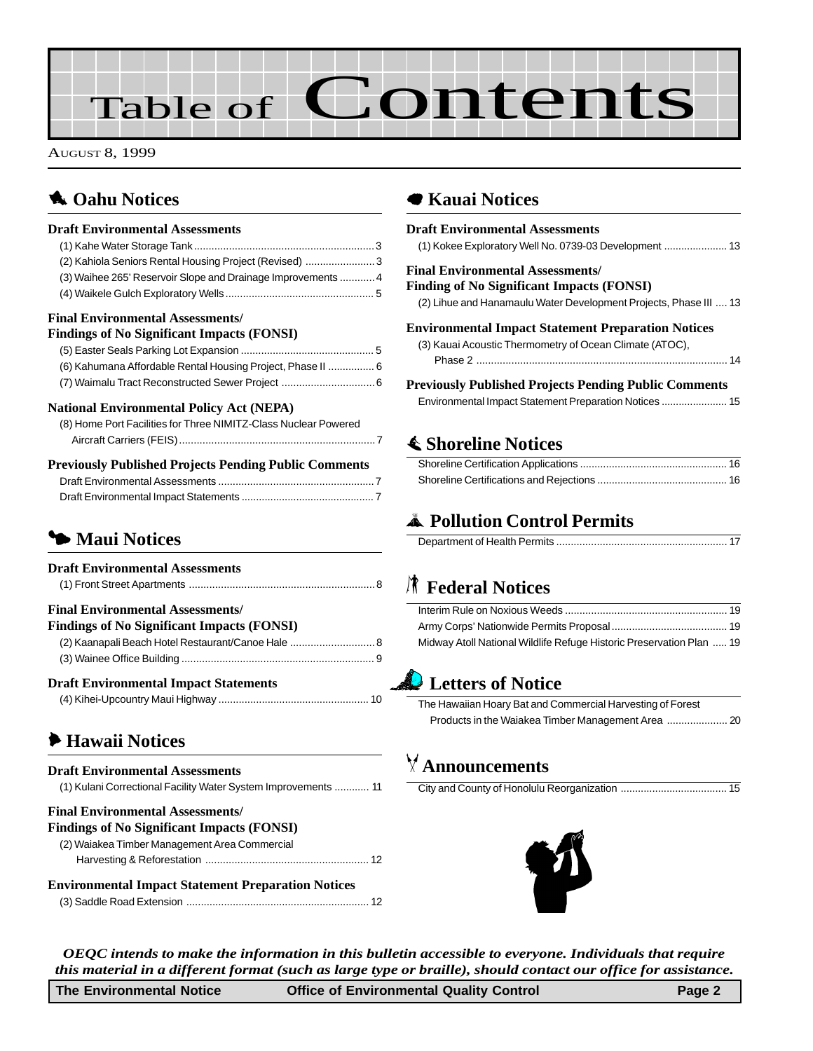# Table of **Contents**

AUGUST 8, 1999

### **1** [Oahu Notices](#page-2-0)

#### **Draft Environmental Assessments**

| (2) Kahiola Seniors Rental Housing Project (Revised) 3          |  |
|-----------------------------------------------------------------|--|
| (3) Waihee 265' Reservoir Slope and Drainage Improvements  4    |  |
|                                                                 |  |
| <b>Final Environmental Assessments/</b>                         |  |
| Findings of No Significant Impacts (FONSI)                      |  |
|                                                                 |  |
| (6) Kahumana Affordable Rental Housing Project, Phase II  6     |  |
|                                                                 |  |
| <b>National Environmental Policy Act (NEPA)</b>                 |  |
| (8) Home Port Facilities for Three NIMITZ-Class Nuclear Powered |  |
|                                                                 |  |

#### **Previously Published Projects Pending Public Comments** [Draft Environmental Assessments ......................................................7](#page-6-0) [Draft Environmental Impact Statements .............................................. 7](#page-6-0)

# 3 **Maui Notices**

| <b>Draft Environmental Assessments</b>             |  |
|----------------------------------------------------|--|
|                                                    |  |
| <b>Final Environmental Assessments/</b>            |  |
| <b>Findings of No Significant Impacts (FONSI)</b>  |  |
| (2) Kaanapali Beach Hotel Restaurant/Canoe Hale  8 |  |
|                                                    |  |
| <b>Draft Environmental Impact Statements</b>       |  |
|                                                    |  |

### 6 **[Hawaii Notices](#page-10-0)**

### **Draft Environmental Assessments** [\(1\) Kulani Correctional Facility Water System Improvements ............ 11](#page-10-0) **Final Environmental Assessments/ Findings of No Significant Impacts (FONSI)** [\(2\) Waiakea Timber Management Area Commercial](#page-11-0)

| <b>Environmental Impact Statement Preparation Notices</b> |  |  |
|-----------------------------------------------------------|--|--|

### 7 **Kauai Notices**

| <b>Draft Environmental Assessments</b>                            |
|-------------------------------------------------------------------|
| <b>Final Environmental Assessments/</b>                           |
| Finding of No Significant Impacts (FONSI)                         |
| (2) Lihue and Hanamaulu Water Development Projects, Phase III  13 |
| <b>Environmental Impact Statement Preparation Notices</b>         |
| (3) Kauai Acoustic Thermometry of Ocean Climate (ATOC),           |
|                                                                   |
| <b>Previously Published Projects Pending Public Comments</b>      |
|                                                                   |
|                                                                   |

### s **[Shoreline Notices](#page-15-0)**

### V **Pollution Control Permits**

# S **Federal Notices**

| Midway Atoll National Wildlife Refuge Historic Preservation Plan  19 |  |
|----------------------------------------------------------------------|--|

# **Letters of Notice**

| The Hawaiian Hoary Bat and Commercial Harvesting of Forest |  |
|------------------------------------------------------------|--|
|                                                            |  |

# T **Announcements**

City and County of Honolulu Reorganization ..................................... 15



*OEQC intends to make the information in this bulletin accessible to everyone. Individuals that require this material in a different format (such as large type or braille), should contact our office for assistance.*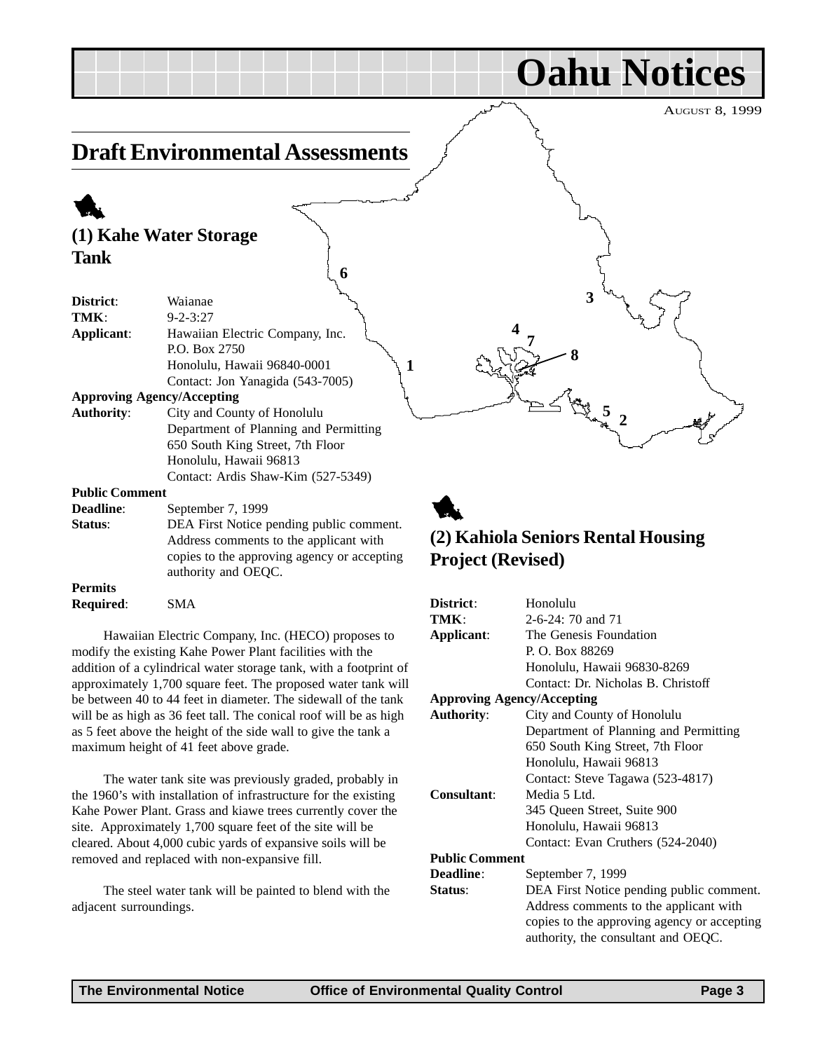**Oahu Notices**

**2**

**5**

**3**

# <span id="page-2-0"></span>**Draft Environmental Assessments**

**6**

# 1 **(1) Kahe Water Storage Tank**

| District:             | Waianae                                  |
|-----------------------|------------------------------------------|
| TMK:                  | $9 - 2 - 3:27$                           |
| Applicant:            | Hawaiian Electric Company, Inc.          |
|                       | P.O. Box 2750                            |
|                       | Honolulu, Hawaii 96840-0001              |
|                       | Contact: Jon Yanagida (543-7005)         |
|                       | <b>Approving Agency/Accepting</b>        |
| <b>Authority:</b>     | City and County of Honolulu              |
|                       | Department of Planning and Permitting    |
|                       | 650 South King Street, 7th Floor         |
|                       | Honolulu, Hawaii 96813                   |
|                       | Contact: Ardis Shaw-Kim (527-5349)       |
| <b>Public Comment</b> |                                          |
| <b>Deadline:</b>      | September 7, 1999                        |
| Status:               | DEA First Notice pending public comment. |
|                       | Address comments to the annlicant with   |

Address comments to the applicant with copies to the approving agency or accepting authority and OEQC.

#### **Permits Required**: SMA

Hawaiian Electric Company, Inc. (HECO) proposes to modify the existing Kahe Power Plant facilities with the addition of a cylindrical water storage tank, with a footprint of approximately 1,700 square feet. The proposed water tank will be between 40 to 44 feet in diameter. The sidewall of the tank will be as high as 36 feet tall. The conical roof will be as high as 5 feet above the height of the side wall to give the tank a maximum height of 41 feet above grade.

The water tank site was previously graded, probably in the 1960's with installation of infrastructure for the existing Kahe Power Plant. Grass and kiawe trees currently cover the site. Approximately 1,700 square feet of the site will be cleared. About 4,000 cubic yards of expansive soils will be removed and replaced with non-expansive fill.

The steel water tank will be painted to blend with the adjacent surroundings.

# 1 **(2) Kahiola Seniors Rental Housing Project (Revised)**

**<sup>8</sup> <sup>1</sup>**

**7 4**

| District:                         | Honolulu                                    |
|-----------------------------------|---------------------------------------------|
| TMK:                              | 2-6-24: 70 and 71                           |
| Applicant:                        | The Genesis Foundation                      |
|                                   | P. O. Box 88269                             |
|                                   | Honolulu, Hawaii 96830-8269                 |
|                                   | Contact: Dr. Nicholas B. Christoff          |
| <b>Approving Agency/Accepting</b> |                                             |
| <b>Authority:</b>                 | City and County of Honolulu                 |
|                                   | Department of Planning and Permitting       |
|                                   | 650 South King Street, 7th Floor            |
|                                   | Honolulu, Hawaii 96813                      |
|                                   | Contact: Steve Tagawa (523-4817)            |
| <b>Consultant:</b>                | Media 5 Ltd.                                |
|                                   | 345 Queen Street, Suite 900                 |
|                                   | Honolulu, Hawaii 96813                      |
|                                   | Contact: Evan Cruthers (524-2040)           |
| <b>Public Comment</b>             |                                             |
| Deadline:                         | September 7, 1999                           |
| Status:                           | DEA First Notice pending public comment.    |
|                                   | Address comments to the applicant with      |
|                                   | copies to the approving agency or accepting |
|                                   | authority, the consultant and OEQC.         |
|                                   |                                             |
|                                   |                                             |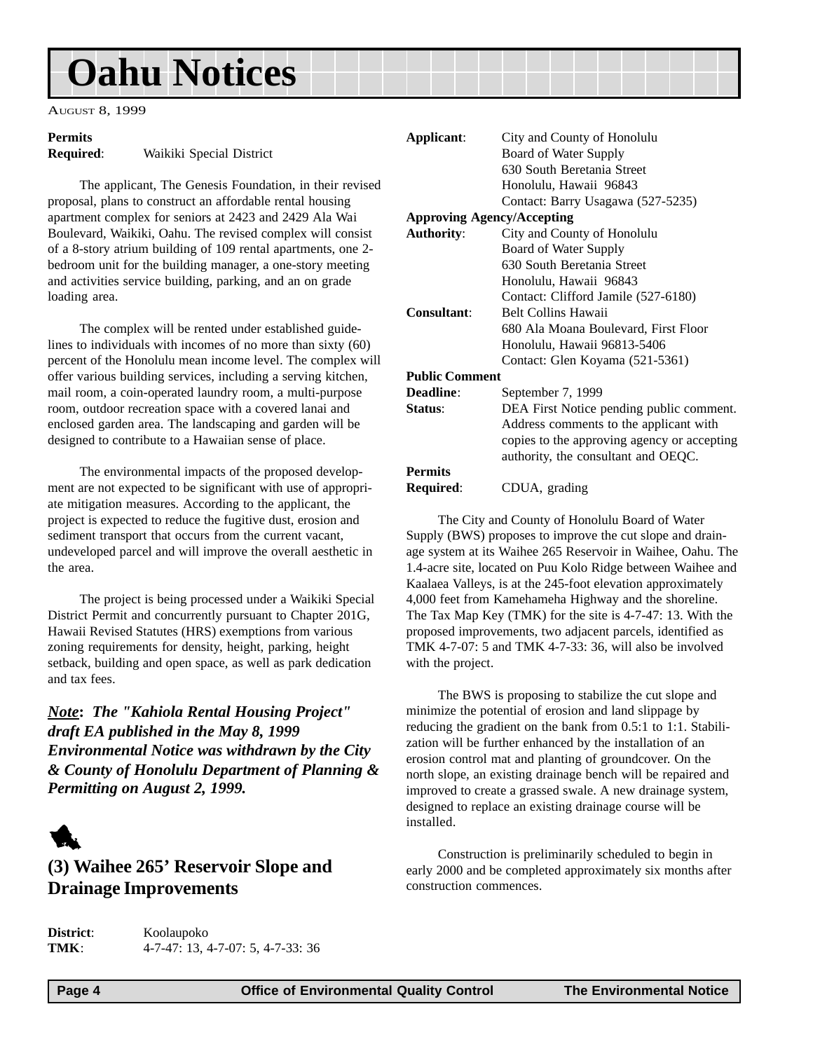# <span id="page-3-0"></span>**Oahu Notices**

AUGUST 8, 1999

### **Permits**

**Required**: Waikiki Special District

The applicant, The Genesis Foundation, in their revised proposal, plans to construct an affordable rental housing apartment complex for seniors at 2423 and 2429 Ala Wai Boulevard, Waikiki, Oahu. The revised complex will consist of a 8-story atrium building of 109 rental apartments, one 2 bedroom unit for the building manager, a one-story meeting and activities service building, parking, and an on grade loading area.

The complex will be rented under established guidelines to individuals with incomes of no more than sixty (60) percent of the Honolulu mean income level. The complex will offer various building services, including a serving kitchen, mail room, a coin-operated laundry room, a multi-purpose room, outdoor recreation space with a covered lanai and enclosed garden area. The landscaping and garden will be designed to contribute to a Hawaiian sense of place.

The environmental impacts of the proposed development are not expected to be significant with use of appropriate mitigation measures. According to the applicant, the project is expected to reduce the fugitive dust, erosion and sediment transport that occurs from the current vacant, undeveloped parcel and will improve the overall aesthetic in the area.

The project is being processed under a Waikiki Special District Permit and concurrently pursuant to Chapter 201G, Hawaii Revised Statutes (HRS) exemptions from various zoning requirements for density, height, parking, height setback, building and open space, as well as park dedication and tax fees.

*Note***:** *The "Kahiola Rental Housing Project" draft EA published in the May 8, 1999 Environmental Notice was withdrawn by the City & County of Honolulu Department of Planning & Permitting on August 2, 1999.*



### **(3) Waihee 265' Reservoir Slope and Drainage Improvements**

**District**: Koolaupoko **TMK**: 4-7-47: 13, 4-7-07: 5, 4-7-33: 36

| Applicant:            | City and County of Honolulu                 |
|-----------------------|---------------------------------------------|
|                       | Board of Water Supply                       |
|                       | 630 South Beretania Street                  |
|                       | Honolulu, Hawaii 96843                      |
|                       | Contact: Barry Usagawa (527-5235)           |
|                       | <b>Approving Agency/Accepting</b>           |
| <b>Authority:</b>     | City and County of Honolulu                 |
|                       | Board of Water Supply                       |
|                       | 630 South Beretania Street                  |
|                       | Honolulu, Hawaii 96843                      |
|                       | Contact: Clifford Jamile (527-6180)         |
| Consultant:           | <b>Belt Collins Hawaii</b>                  |
|                       | 680 Ala Moana Boulevard, First Floor        |
|                       | Honolulu, Hawaii 96813-5406                 |
|                       | Contact: Glen Koyama (521-5361)             |
| <b>Public Comment</b> |                                             |
| Deadline:             | September 7, 1999                           |
| Status:               | DEA First Notice pending public comment.    |
|                       | Address comments to the applicant with      |
|                       | copies to the approving agency or accepting |
|                       | authority, the consultant and OEQC.         |
| <b>Permits</b>        |                                             |
|                       |                                             |

**Required**: CDUA, grading

The City and County of Honolulu Board of Water Supply (BWS) proposes to improve the cut slope and drainage system at its Waihee 265 Reservoir in Waihee, Oahu. The 1.4-acre site, located on Puu Kolo Ridge between Waihee and Kaalaea Valleys, is at the 245-foot elevation approximately 4,000 feet from Kamehameha Highway and the shoreline. The Tax Map Key (TMK) for the site is 4-7-47: 13. With the proposed improvements, two adjacent parcels, identified as TMK 4-7-07: 5 and TMK 4-7-33: 36, will also be involved with the project.

The BWS is proposing to stabilize the cut slope and minimize the potential of erosion and land slippage by reducing the gradient on the bank from 0.5:1 to 1:1. Stabilization will be further enhanced by the installation of an erosion control mat and planting of groundcover. On the north slope, an existing drainage bench will be repaired and improved to create a grassed swale. A new drainage system, designed to replace an existing drainage course will be installed.

Construction is preliminarily scheduled to begin in early 2000 and be completed approximately six months after construction commences.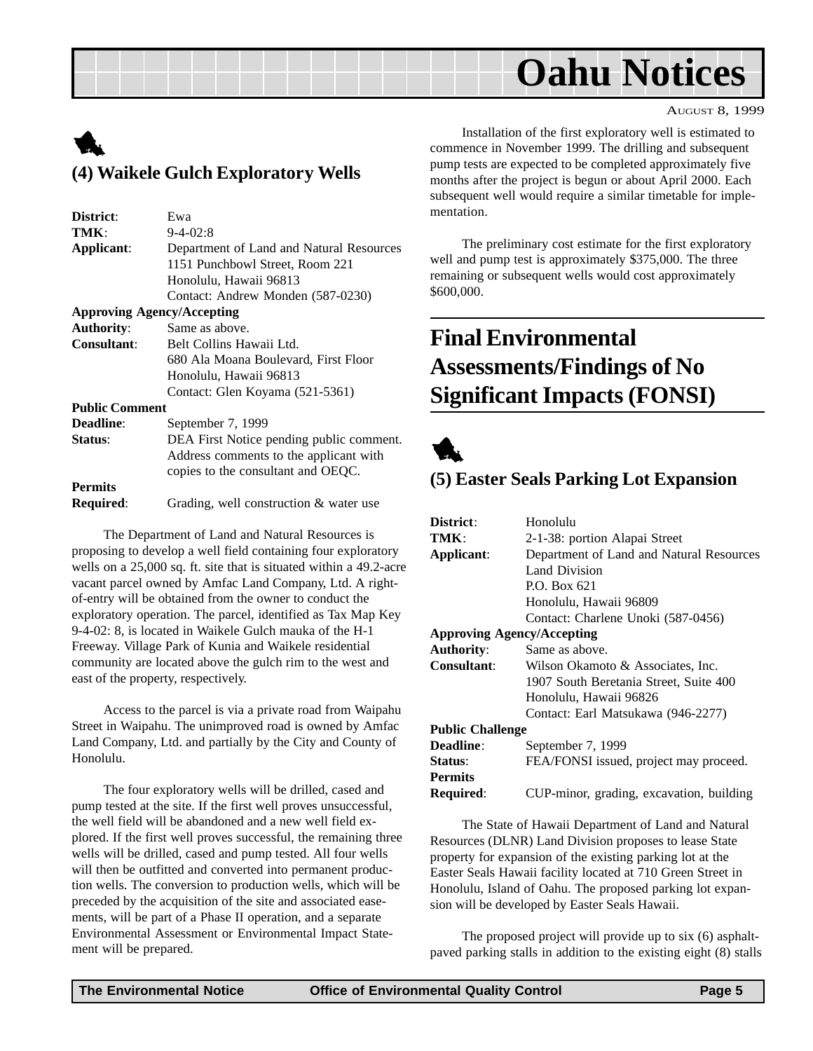# **Oahu Notices**

#### AUGUST 8, 1999

# <span id="page-4-0"></span>1 **(4) Waikele Gulch Exploratory Wells**

| District:             | Ewa                                      |
|-----------------------|------------------------------------------|
| TMK:                  | $9 - 4 - 02:8$                           |
| Applicant:            | Department of Land and Natural Resources |
|                       | 1151 Punchbowl Street, Room 221          |
|                       | Honolulu, Hawaii 96813                   |
|                       | Contact: Andrew Monden (587-0230)        |
|                       | <b>Approving Agency/Accepting</b>        |
| <b>Authority:</b>     | Same as above.                           |
| <b>Consultant:</b>    | Belt Collins Hawaii Ltd.                 |
|                       | 680 Ala Moana Boulevard, First Floor     |
|                       | Honolulu, Hawaii 96813                   |
|                       | Contact: Glen Koyama (521-5361)          |
| <b>Public Comment</b> |                                          |
| <b>Deadline:</b>      | September 7, 1999                        |
| Status:               | DEA First Notice pending public comment. |
|                       | Address comments to the applicant with   |
|                       | copies to the consultant and OEQC.       |
| <b>Permits</b>        |                                          |
| Required:             | Grading, well construction & water use   |
|                       |                                          |

The Department of Land and Natural Resources is proposing to develop a well field containing four exploratory wells on a 25,000 sq. ft. site that is situated within a 49.2-acre vacant parcel owned by Amfac Land Company, Ltd. A rightof-entry will be obtained from the owner to conduct the exploratory operation. The parcel, identified as Tax Map Key 9-4-02: 8, is located in Waikele Gulch mauka of the H-1 Freeway. Village Park of Kunia and Waikele residential community are located above the gulch rim to the west and east of the property, respectively.

Access to the parcel is via a private road from Waipahu Street in Waipahu. The unimproved road is owned by Amfac Land Company, Ltd. and partially by the City and County of Honolulu.

The four exploratory wells will be drilled, cased and pump tested at the site. If the first well proves unsuccessful, the well field will be abandoned and a new well field explored. If the first well proves successful, the remaining three wells will be drilled, cased and pump tested. All four wells will then be outfitted and converted into permanent production wells. The conversion to production wells, which will be preceded by the acquisition of the site and associated easements, will be part of a Phase II operation, and a separate Environmental Assessment or Environmental Impact Statement will be prepared.

Installation of the first exploratory well is estimated to commence in November 1999. The drilling and subsequent pump tests are expected to be completed approximately five months after the project is begun or about April 2000. Each subsequent well would require a similar timetable for implementation.

The preliminary cost estimate for the first exploratory well and pump test is approximately \$375,000. The three remaining or subsequent wells would cost approximately \$600,000.

# **Final Environmental Assessments/Findings of No Significant Impacts (FONSI)**



### **(5) Easter Seals Parking Lot Expansion**

| District:                         | Honolulu                                 |
|-----------------------------------|------------------------------------------|
| TMK:                              | 2-1-38: portion Alapai Street            |
| Applicant:                        | Department of Land and Natural Resources |
|                                   | Land Division                            |
|                                   | P.O. Box 621                             |
|                                   | Honolulu, Hawaii 96809                   |
|                                   | Contact: Charlene Unoki (587-0456)       |
| <b>Approving Agency/Accepting</b> |                                          |
| <b>Authority:</b>                 | Same as above.                           |
| Consultant:                       | Wilson Okamoto & Associates, Inc.        |
|                                   | 1907 South Beretania Street, Suite 400   |
|                                   | Honolulu, Hawaii 96826                   |
|                                   | Contact: Earl Matsukawa (946-2277)       |
| <b>Public Challenge</b>           |                                          |
| Deadline:                         | September 7, 1999                        |
| Status:                           | FEA/FONSI issued, project may proceed.   |
| <b>Permits</b>                    |                                          |
| Required:                         | CUP-minor, grading, excavation, building |
|                                   |                                          |

The State of Hawaii Department of Land and Natural Resources (DLNR) Land Division proposes to lease State property for expansion of the existing parking lot at the Easter Seals Hawaii facility located at 710 Green Street in Honolulu, Island of Oahu. The proposed parking lot expansion will be developed by Easter Seals Hawaii.

The proposed project will provide up to six (6) asphaltpaved parking stalls in addition to the existing eight (8) stalls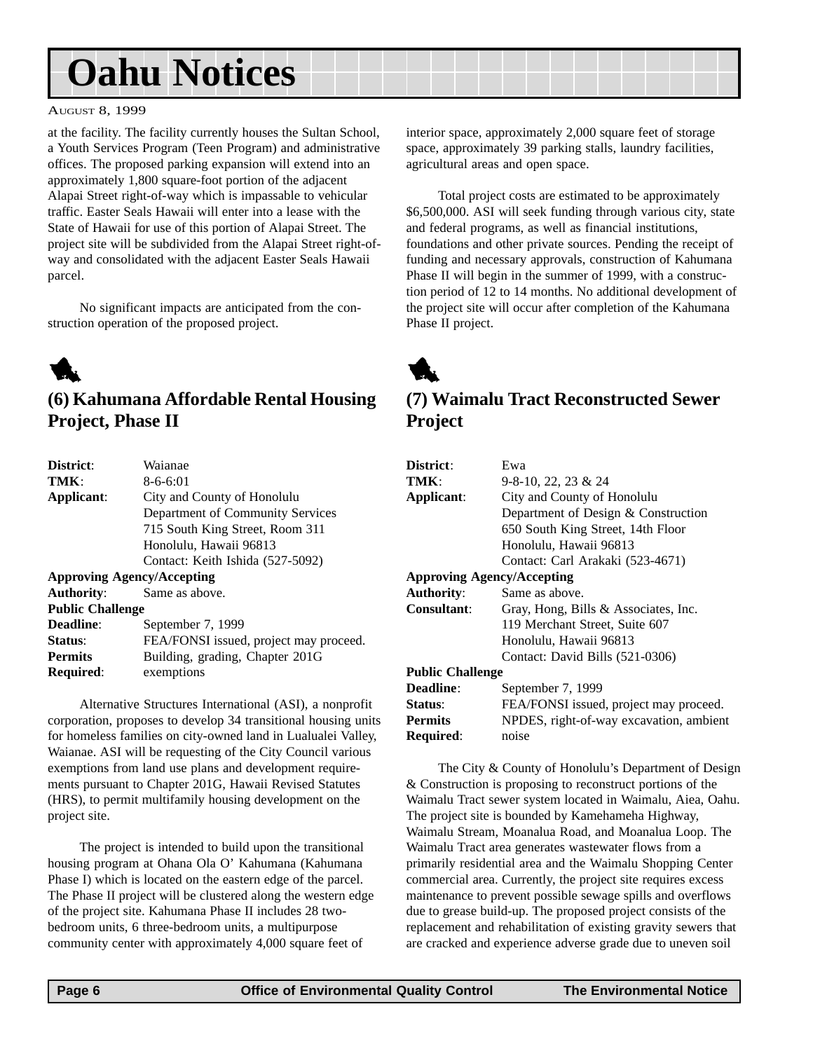# <span id="page-5-0"></span>**Oahu Notices**

#### AUGUST 8, 1999

at the facility. The facility currently houses the Sultan School, a Youth Services Program (Teen Program) and administrative offices. The proposed parking expansion will extend into an approximately 1,800 square-foot portion of the adjacent Alapai Street right-of-way which is impassable to vehicular traffic. Easter Seals Hawaii will enter into a lease with the State of Hawaii for use of this portion of Alapai Street. The project site will be subdivided from the Alapai Street right-ofway and consolidated with the adjacent Easter Seals Hawaii parcel.

No significant impacts are anticipated from the construction operation of the proposed project.

# 1

### **(6) Kahumana Affordable Rental Housing Project, Phase II**

| Waianae                                |
|----------------------------------------|
| $8 - 6 - 6:01$                         |
| City and County of Honolulu            |
| Department of Community Services       |
| 715 South King Street, Room 311        |
| Honolulu, Hawaii 96813                 |
| Contact: Keith Ishida (527-5092)       |
| <b>Approving Agency/Accepting</b>      |
| Same as above.                         |
| <b>Public Challenge</b>                |
| September 7, 1999                      |
| FEA/FONSI issued, project may proceed. |
| Building, grading, Chapter 201G        |
| exemptions                             |
|                                        |

Alternative Structures International (ASI), a nonprofit corporation, proposes to develop 34 transitional housing units for homeless families on city-owned land in Lualualei Valley, Waianae. ASI will be requesting of the City Council various exemptions from land use plans and development requirements pursuant to Chapter 201G, Hawaii Revised Statutes (HRS), to permit multifamily housing development on the project site.

The project is intended to build upon the transitional housing program at Ohana Ola O' Kahumana (Kahumana Phase I) which is located on the eastern edge of the parcel. The Phase II project will be clustered along the western edge of the project site. Kahumana Phase II includes 28 twobedroom units, 6 three-bedroom units, a multipurpose community center with approximately 4,000 square feet of

interior space, approximately 2,000 square feet of storage space, approximately 39 parking stalls, laundry facilities, agricultural areas and open space.

Total project costs are estimated to be approximately \$6,500,000. ASI will seek funding through various city, state and federal programs, as well as financial institutions, foundations and other private sources. Pending the receipt of funding and necessary approvals, construction of Kahumana Phase II will begin in the summer of 1999, with a construction period of 12 to 14 months. No additional development of the project site will occur after completion of the Kahumana Phase II project.



### **(7) Waimalu Tract Reconstructed Sewer Project**

| District:               | Ewa                                     |
|-------------------------|-----------------------------------------|
| TMK:                    | $9-8-10$ , 22, 23 & 24                  |
| Applicant:              | City and County of Honolulu             |
|                         | Department of Design & Construction     |
|                         | 650 South King Street, 14th Floor       |
|                         | Honolulu, Hawaii 96813                  |
|                         | Contact: Carl Arakaki (523-4671)        |
|                         | <b>Approving Agency/Accepting</b>       |
| <b>Authority:</b>       | Same as above.                          |
| Consultant:             | Gray, Hong, Bills & Associates, Inc.    |
|                         | 119 Merchant Street, Suite 607          |
|                         | Honolulu, Hawaii 96813                  |
|                         | Contact: David Bills (521-0306)         |
| <b>Public Challenge</b> |                                         |
| Deadline:               | September 7, 1999                       |
| <b>Status:</b>          | FEA/FONSI issued, project may proceed.  |
| <b>Permits</b>          | NPDES, right-of-way excavation, ambient |
| Required:               | noise                                   |

The City & County of Honolulu's Department of Design & Construction is proposing to reconstruct portions of the Waimalu Tract sewer system located in Waimalu, Aiea, Oahu. The project site is bounded by Kamehameha Highway, Waimalu Stream, Moanalua Road, and Moanalua Loop. The Waimalu Tract area generates wastewater flows from a primarily residential area and the Waimalu Shopping Center commercial area. Currently, the project site requires excess maintenance to prevent possible sewage spills and overflows due to grease build-up. The proposed project consists of the replacement and rehabilitation of existing gravity sewers that are cracked and experience adverse grade due to uneven soil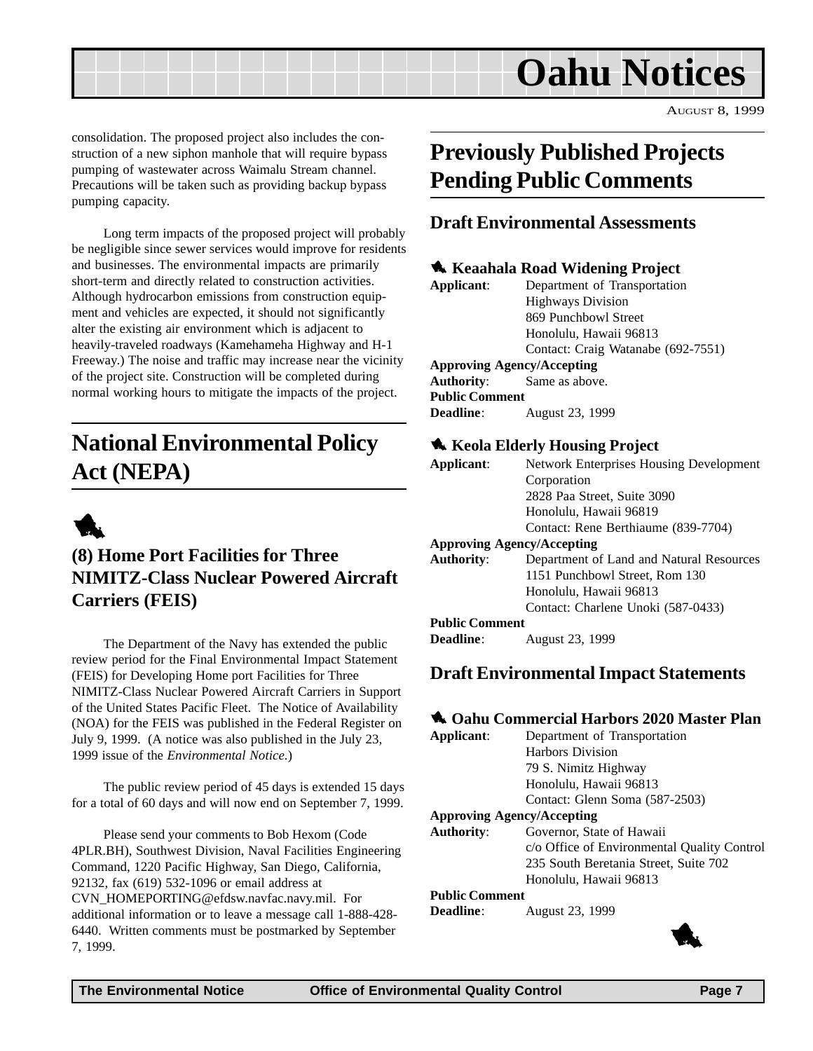

<span id="page-6-0"></span>consolidation. The proposed project also includes the construction of a new siphon manhole that will require bypass pumping of wastewater across Waimalu Stream channel. Precautions will be taken such as providing backup bypass pumping capacity.

Long term impacts of the proposed project will probably be negligible since sewer services would improve for residents and businesses. The environmental impacts are primarily short-term and directly related to construction activities. Although hydrocarbon emissions from construction equipment and vehicles are expected, it should not significantly alter the existing air environment which is adjacent to heavily-traveled roadways (Kamehameha Highway and H-1 Freeway.) The noise and traffic may increase near the vicinity of the project site. Construction will be completed during normal working hours to mitigate the impacts of the project.

# **National Environmental Policy Act (NEPA)**



### **(8) Home Port Facilities for Three NIMITZ-Class Nuclear Powered Aircraft Carriers (FEIS)**

The Department of the Navy has extended the public review period for the Final Environmental Impact Statement (FEIS) for Developing Home port Facilities for Three NIMITZ-Class Nuclear Powered Aircraft Carriers in Support of the United States Pacific Fleet. The Notice of Availability (NOA) for the FEIS was published in the Federal Register on July 9, 1999. (A notice was also published in the July 23, 1999 issue of the *Environmental Notice.*)

The public review period of 45 days is extended 15 days for a total of 60 days and will now end on September 7, 1999.

Please send your comments to Bob Hexom (Code 4PLR.BH), Southwest Division, Naval Facilities Engineering Command, 1220 Pacific Highway, San Diego, California, 92132, fax (619) 532-1096 or email address at CVN\_HOMEPORTING@efdsw.navfac.navy.mil. For additional information or to leave a message call 1-888-428- 6440. Written comments must be postmarked by September 7, 1999. 1

# **Previously Published Projects Pending Public Comments**

### **Draft Environmental Assessments**

#### **1** Keaahala Road Widening Project

| Applicant:                        | Department of Transportation       |
|-----------------------------------|------------------------------------|
|                                   | <b>Highways Division</b>           |
|                                   | 869 Punchbowl Street               |
|                                   | Honolulu, Hawaii 96813             |
|                                   | Contact: Craig Watanabe (692-7551) |
| <b>Approving Agency/Accepting</b> |                                    |
| <b>Authority:</b>                 | Same as above.                     |
| <b>Public Comment</b>             |                                    |
| Deadline:                         | August 23, 1999                    |

#### $\triangle$  **Keola Elderly Housing Project**

| Applicant:                        | <b>Network Enterprises Housing Development</b> |
|-----------------------------------|------------------------------------------------|
|                                   | Corporation                                    |
|                                   | 2828 Paa Street, Suite 3090                    |
|                                   | Honolulu, Hawaii 96819                         |
|                                   | Contact: Rene Berthiaume (839-7704)            |
| <b>Approving Agency/Accepting</b> |                                                |
| <b>Authority:</b>                 | Department of Land and Natural Resources       |
|                                   | 1151 Punchbowl Street, Rom 130                 |
|                                   | Honolulu, Hawaii 96813                         |
|                                   | Contact: Charlene Unoki (587-0433)             |
| <b>Public Comment</b>             |                                                |
| <b>Deadline:</b>                  | August 23, 1999                                |

### **Draft Environmental Impact Statements**

#### 1 **Oahu Commercial Harbors 2020 Master Plan**

| Applicant:            | Department of Transportation                |
|-----------------------|---------------------------------------------|
|                       | <b>Harbors Division</b>                     |
|                       | 79 S. Nimitz Highway                        |
|                       | Honolulu, Hawaii 96813                      |
|                       | Contact: Glenn Soma (587-2503)              |
|                       | <b>Approving Agency/Accepting</b>           |
| <b>Authority:</b>     | Governor, State of Hawaii                   |
|                       | c/o Office of Environmental Quality Control |
|                       | 235 South Beretania Street, Suite 702       |
|                       | Honolulu, Hawaii 96813                      |
| <b>Public Comment</b> |                                             |
| <b>Deadline:</b>      | August 23, 1999                             |
|                       |                                             |

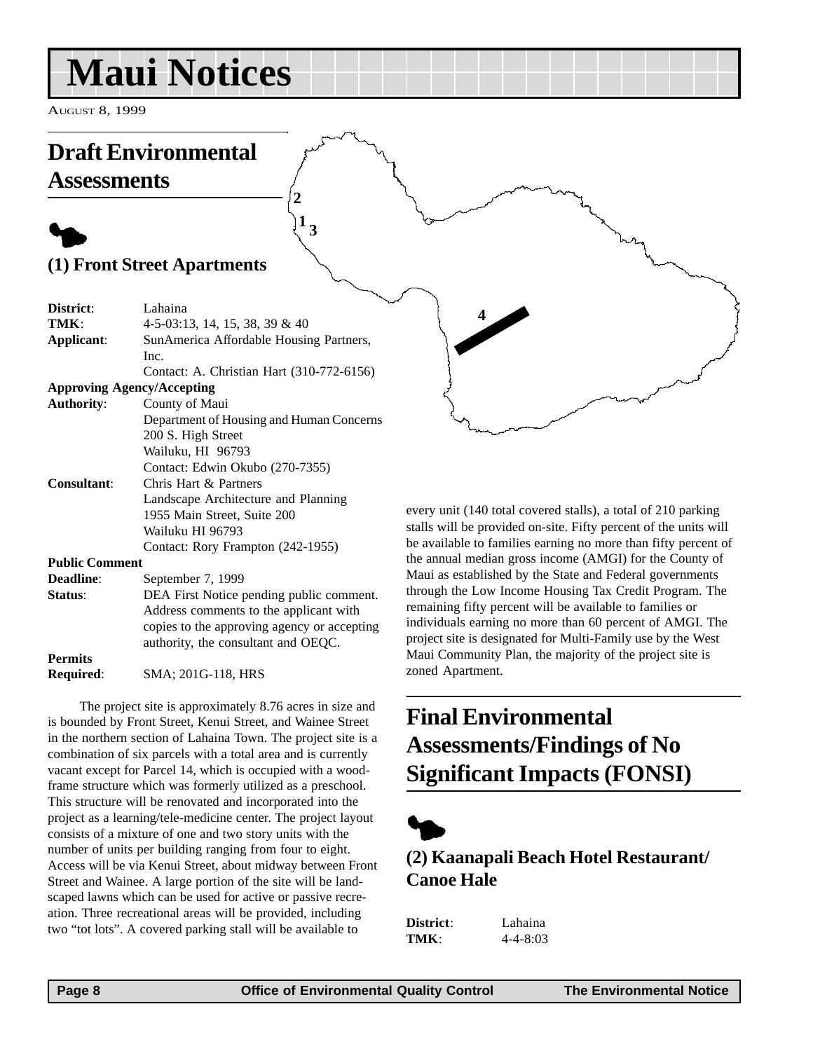# <span id="page-7-0"></span>**Maui Notices**

AUGUST 8, 1999

### **Draft Environmental Assessments**

# $\blacklozenge$ **(1) Front Street Apartments**

| District:                         | Lahaina                                     |
|-----------------------------------|---------------------------------------------|
| TMK:                              | 4-5-03:13, 14, 15, 38, 39 & 40              |
| Applicant:                        | SunAmerica Affordable Housing Partners,     |
|                                   | Inc.                                        |
|                                   | Contact: A. Christian Hart (310-772-6156)   |
| <b>Approving Agency/Accepting</b> |                                             |
| <b>Authority:</b>                 | County of Maui                              |
|                                   | Department of Housing and Human Concerns    |
|                                   | 200 S. High Street                          |
|                                   | Wailuku, HI 96793                           |
|                                   | Contact: Edwin Okubo (270-7355)             |
| Consultant:                       | Chris Hart & Partners                       |
|                                   | Landscape Architecture and Planning         |
|                                   | 1955 Main Street, Suite 200                 |
|                                   | Wailuku HI 96793                            |
|                                   | Contact: Rory Frampton (242-1955)           |
| <b>Public Comment</b>             |                                             |
| <b>Deadline:</b>                  | September 7, 1999                           |
| Status:                           | DEA First Notice pending public comment.    |
|                                   | Address comments to the applicant with      |
|                                   | copies to the approving agency or accepting |
|                                   | authority, the consultant and OEQC.         |
| <b>Permits</b>                    |                                             |
| Required:                         | SMA; 201G-118, HRS                          |

**1 3**

**2**

The project site is approximately 8.76 acres in size and is bounded by Front Street, Kenui Street, and Wainee Street in the northern section of Lahaina Town. The project site is a combination of six parcels with a total area and is currently vacant except for Parcel 14, which is occupied with a woodframe structure which was formerly utilized as a preschool. This structure will be renovated and incorporated into the project as a learning/tele-medicine center. The project layout consists of a mixture of one and two story units with the number of units per building ranging from four to eight. Access will be via Kenui Street, about midway between Front Street and Wainee. A large portion of the site will be landscaped lawns which can be used for active or passive recreation. Three recreational areas will be provided, including two "tot lots". A covered parking stall will be available to

every unit (140 total covered stalls), a total of 210 parking stalls will be provided on-site. Fifty percent of the units will be available to families earning no more than fifty percent of the annual median gross income (AMGI) for the County of Maui as established by the State and Federal governments through the Low Income Housing Tax Credit Program. The remaining fifty percent will be available to families or individuals earning no more than 60 percent of AMGI. The project site is designated for Multi-Family use by the West Maui Community Plan, the majority of the project site is zoned Apartment.

**4**

# **Final Environmental Assessments/Findings of No Significant Impacts (FONSI)**



### **(2) Kaanapali Beach Hotel Restaurant/ Canoe Hale**

**District**: Lahaina **TMK**: 4-4-8:03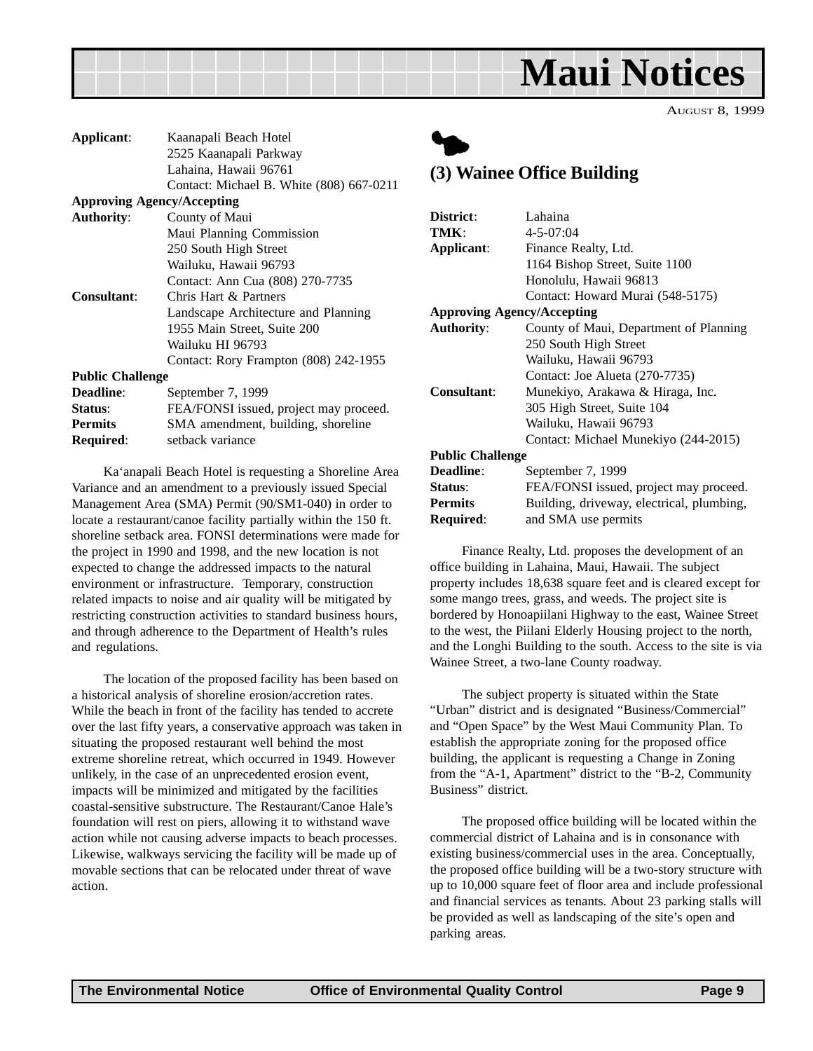<span id="page-8-0"></span>

| Applicant:                        | Kaanapali Beach Hotel                    |
|-----------------------------------|------------------------------------------|
|                                   | 2525 Kaanapali Parkway                   |
|                                   | Lahaina, Hawaii 96761                    |
|                                   | Contact: Michael B. White (808) 667-0211 |
| <b>Approving Agency/Accepting</b> |                                          |
| <b>Authority:</b>                 | County of Maui                           |
|                                   | Maui Planning Commission                 |
|                                   | 250 South High Street                    |
|                                   | Wailuku, Hawaii 96793                    |
|                                   | Contact: Ann Cua (808) 270-7735          |
| Consultant:                       | Chris Hart & Partners                    |
|                                   | Landscape Architecture and Planning      |
|                                   | 1955 Main Street, Suite 200              |
|                                   | Wailuku HI 96793                         |
|                                   | Contact: Rory Frampton (808) 242-1955    |
| <b>Public Challenge</b>           |                                          |
| Deadline:                         | September 7, 1999                        |
| Status:                           | FEA/FONSI issued, project may proceed.   |
| <b>Permits</b>                    | SMA amendment, building, shoreline       |
| Required:                         | setback variance                         |

Ka'anapali Beach Hotel is requesting a Shoreline Area Variance and an amendment to a previously issued Special Management Area (SMA) Permit (90/SM1-040) in order to locate a restaurant/canoe facility partially within the 150 ft. shoreline setback area. FONSI determinations were made for the project in 1990 and 1998, and the new location is not expected to change the addressed impacts to the natural environment or infrastructure. Temporary, construction related impacts to noise and air quality will be mitigated by restricting construction activities to standard business hours, and through adherence to the Department of Health's rules and regulations.

The location of the proposed facility has been based on a historical analysis of shoreline erosion/accretion rates. While the beach in front of the facility has tended to accrete over the last fifty years, a conservative approach was taken in situating the proposed restaurant well behind the most extreme shoreline retreat, which occurred in 1949. However unlikely, in the case of an unprecedented erosion event, impacts will be minimized and mitigated by the facilities coastal-sensitive substructure. The Restaurant/Canoe Hale's foundation will rest on piers, allowing it to withstand wave action while not causing adverse impacts to beach processes. Likewise, walkways servicing the facility will be made up of movable sections that can be relocated under threat of wave action.



### **(3) Wainee Office Building**

| District:                         | Lahaina                                   |
|-----------------------------------|-------------------------------------------|
| TMK:                              | $4 - 5 - 07:04$                           |
| Applicant:                        | Finance Realty, Ltd.                      |
|                                   | 1164 Bishop Street, Suite 1100            |
|                                   | Honolulu, Hawaii 96813                    |
|                                   | Contact: Howard Murai (548-5175)          |
| <b>Approving Agency/Accepting</b> |                                           |
| <b>Authority:</b>                 | County of Maui, Department of Planning    |
|                                   | 250 South High Street                     |
|                                   | Wailuku, Hawaii 96793                     |
|                                   | Contact: Joe Alueta (270-7735)            |
| <b>Consultant:</b>                | Munekiyo, Arakawa & Hiraga, Inc.          |
|                                   | 305 High Street, Suite 104                |
|                                   | Wailuku, Hawaii 96793                     |
|                                   | Contact: Michael Munekiyo (244-2015)      |
| <b>Public Challenge</b>           |                                           |
| <b>Deadline:</b>                  | September 7, 1999                         |
| <b>Status:</b>                    | FEA/FONSI issued, project may proceed.    |
| <b>Permits</b>                    | Building, driveway, electrical, plumbing, |
| Required:                         | and SMA use permits                       |

Finance Realty, Ltd. proposes the development of an office building in Lahaina, Maui, Hawaii. The subject property includes 18,638 square feet and is cleared except for some mango trees, grass, and weeds. The project site is bordered by Honoapiilani Highway to the east, Wainee Street to the west, the Piilani Elderly Housing project to the north, and the Longhi Building to the south. Access to the site is via Wainee Street, a two-lane County roadway.

The subject property is situated within the State "Urban" district and is designated "Business/Commercial" and "Open Space" by the West Maui Community Plan. To establish the appropriate zoning for the proposed office building, the applicant is requesting a Change in Zoning from the "A-1, Apartment" district to the "B-2, Community Business" district.

The proposed office building will be located within the commercial district of Lahaina and is in consonance with existing business/commercial uses in the area. Conceptually, the proposed office building will be a two-story structure with up to 10,000 square feet of floor area and include professional and financial services as tenants. About 23 parking stalls will be provided as well as landscaping of the site's open and parking areas.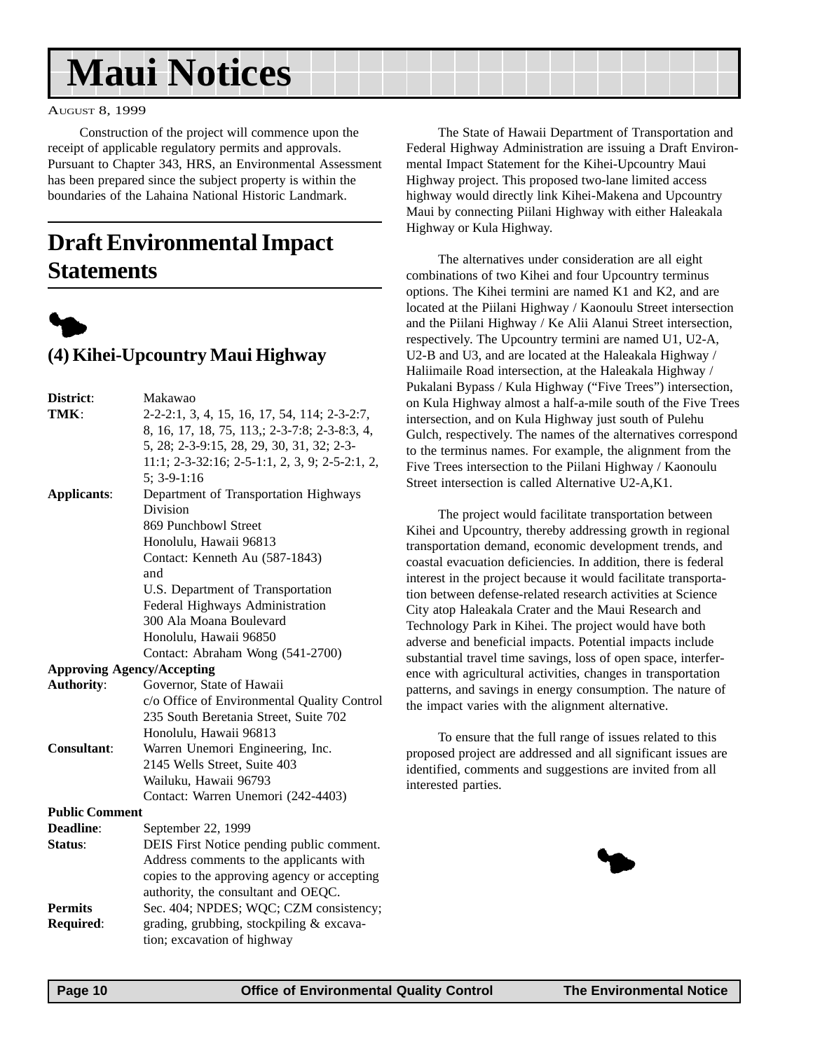# <span id="page-9-0"></span>**Maui Notices**

#### AUGUST 8, 1999

Construction of the project will commence upon the receipt of applicable regulatory permits and approvals. Pursuant to Chapter 343, HRS, an Environmental Assessment has been prepared since the subject property is within the boundaries of the Lahaina National Historic Landmark.

# **Draft Environmental Impact Statements**



### **(4) Kihei-Upcountry Maui Highway**

| District:             | Makawao                                          |
|-----------------------|--------------------------------------------------|
| TMK:                  | 2-2-2:1, 3, 4, 15, 16, 17, 54, 114; 2-3-2:7,     |
|                       | 8, 16, 17, 18, 75, 113,; 2-3-7:8; 2-3-8:3, 4,    |
|                       | 5, 28; 2-3-9:15, 28, 29, 30, 31, 32; 2-3-        |
|                       | $11:1; 2-3-32:16; 2-5-1:1, 2, 3, 9; 2-5-2:1, 2,$ |
|                       | $5: 3-9-1:16$                                    |
| <b>Applicants:</b>    | Department of Transportation Highways            |
|                       | Division                                         |
|                       | 869 Punchbowl Street                             |
|                       | Honolulu, Hawaii 96813                           |
|                       | Contact: Kenneth Au (587-1843)                   |
|                       | and                                              |
|                       | U.S. Department of Transportation                |
|                       | Federal Highways Administration                  |
|                       | 300 Ala Moana Boulevard                          |
|                       | Honolulu, Hawaii 96850                           |
|                       | Contact: Abraham Wong (541-2700)                 |
|                       | <b>Approving Agency/Accepting</b>                |
| <b>Authority:</b>     | Governor, State of Hawaii                        |
|                       | c/o Office of Environmental Quality Control      |
|                       | 235 South Beretania Street, Suite 702            |
|                       | Honolulu, Hawaii 96813                           |
| <b>Consultant:</b>    | Warren Unemori Engineering, Inc.                 |
|                       | 2145 Wells Street, Suite 403                     |
|                       | Wailuku, Hawaii 96793                            |
|                       | Contact: Warren Unemori (242-4403)               |
| <b>Public Comment</b> |                                                  |
| Deadline:             | September 22, 1999                               |
| Status:               | DEIS First Notice pending public comment.        |
|                       | Address comments to the applicants with          |
|                       | copies to the approving agency or accepting      |
|                       | authority, the consultant and OEQC.              |
| <b>Permits</b>        | Sec. 404; NPDES; WQC; CZM consistency;           |
| Required:             | grading, grubbing, stockpiling & excava-         |
|                       | tion; excavation of highway                      |

The State of Hawaii Department of Transportation and Federal Highway Administration are issuing a Draft Environmental Impact Statement for the Kihei-Upcountry Maui Highway project. This proposed two-lane limited access highway would directly link Kihei-Makena and Upcountry Maui by connecting Piilani Highway with either Haleakala Highway or Kula Highway.

The alternatives under consideration are all eight combinations of two Kihei and four Upcountry terminus options. The Kihei termini are named K1 and K2, and are located at the Piilani Highway / Kaonoulu Street intersection and the Piilani Highway / Ke Alii Alanui Street intersection, respectively. The Upcountry termini are named U1, U2-A, U2-B and U3, and are located at the Haleakala Highway / Haliimaile Road intersection, at the Haleakala Highway / Pukalani Bypass / Kula Highway ("Five Trees") intersection, on Kula Highway almost a half-a-mile south of the Five Trees intersection, and on Kula Highway just south of Pulehu Gulch, respectively. The names of the alternatives correspond to the terminus names. For example, the alignment from the Five Trees intersection to the Piilani Highway / Kaonoulu Street intersection is called Alternative U2-A,K1.

The project would facilitate transportation between Kihei and Upcountry, thereby addressing growth in regional transportation demand, economic development trends, and coastal evacuation deficiencies. In addition, there is federal interest in the project because it would facilitate transportation between defense-related research activities at Science City atop Haleakala Crater and the Maui Research and Technology Park in Kihei. The project would have both adverse and beneficial impacts. Potential impacts include substantial travel time savings, loss of open space, interference with agricultural activities, changes in transportation patterns, and savings in energy consumption. The nature of the impact varies with the alignment alternative.

To ensure that the full range of issues related to this proposed project are addressed and all significant issues are identified, comments and suggestions are invited from all interested parties.

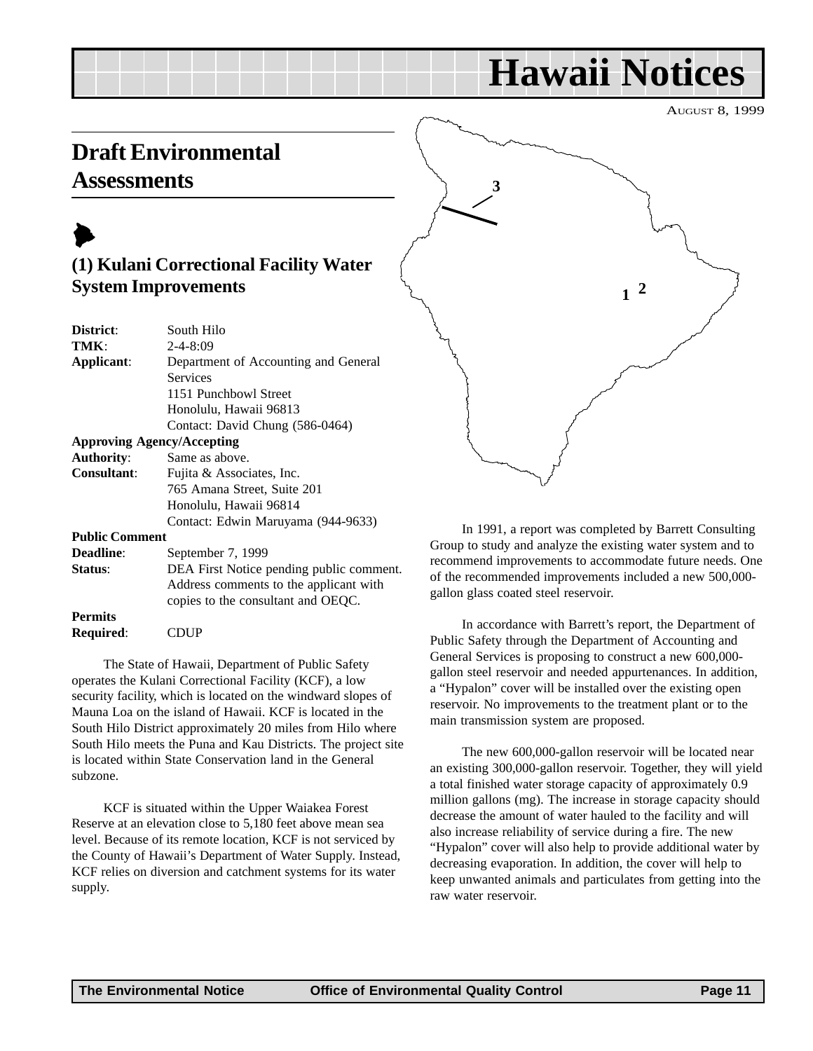# **Hawaii Notices**

AUGUST 8, 1999

# <span id="page-10-0"></span>**Draft Environmental Assessments**



**Permits**

**Required**: CDUP

### **(1) Kulani Correctional Facility Water System Improvements**

| District:             | South Hilo                               |  |  |  |
|-----------------------|------------------------------------------|--|--|--|
| TMK:                  | $2 - 4 - 8:09$                           |  |  |  |
| Applicant:            | Department of Accounting and General     |  |  |  |
|                       | <b>Services</b>                          |  |  |  |
|                       | 1151 Punchbowl Street                    |  |  |  |
|                       | Honolulu, Hawaii 96813                   |  |  |  |
|                       | Contact: David Chung (586-0464)          |  |  |  |
|                       | <b>Approving Agency/Accepting</b>        |  |  |  |
| <b>Authority:</b>     | Same as above.                           |  |  |  |
| <b>Consultant:</b>    | Fujita & Associates, Inc.                |  |  |  |
|                       | 765 Amana Street, Suite 201              |  |  |  |
|                       | Honolulu, Hawaii 96814                   |  |  |  |
|                       | Contact: Edwin Maruyama (944-9633)       |  |  |  |
| <b>Public Comment</b> |                                          |  |  |  |
| <b>Deadline:</b>      | September 7, 1999                        |  |  |  |
| Status:               | DEA First Notice pending public comment. |  |  |  |
|                       | Address comments to the applicant with   |  |  |  |
|                       | copies to the consultant and OEQC.       |  |  |  |

The State of Hawaii, Department of Public Safety operates the Kulani Correctional Facility (KCF), a low security facility, which is located on the windward slopes of Mauna Loa on the island of Hawaii. KCF is located in the South Hilo District approximately 20 miles from Hilo where South Hilo meets the Puna and Kau Districts. The project site is located within State Conservation land in the General subzone.

KCF is situated within the Upper Waiakea Forest Reserve at an elevation close to 5,180 feet above mean sea level. Because of its remote location, KCF is not serviced by the County of Hawaii's Department of Water Supply. Instead, KCF relies on diversion and catchment systems for its water supply.



In 1991, a report was completed by Barrett Consulting Group to study and analyze the existing water system and to recommend improvements to accommodate future needs. One of the recommended improvements included a new 500,000 gallon glass coated steel reservoir.

In accordance with Barrett's report, the Department of Public Safety through the Department of Accounting and General Services is proposing to construct a new 600,000 gallon steel reservoir and needed appurtenances. In addition, a "Hypalon" cover will be installed over the existing open reservoir. No improvements to the treatment plant or to the main transmission system are proposed.

The new 600,000-gallon reservoir will be located near an existing 300,000-gallon reservoir. Together, they will yield a total finished water storage capacity of approximately 0.9 million gallons (mg). The increase in storage capacity should decrease the amount of water hauled to the facility and will also increase reliability of service during a fire. The new "Hypalon" cover will also help to provide additional water by decreasing evaporation. In addition, the cover will help to keep unwanted animals and particulates from getting into the raw water reservoir.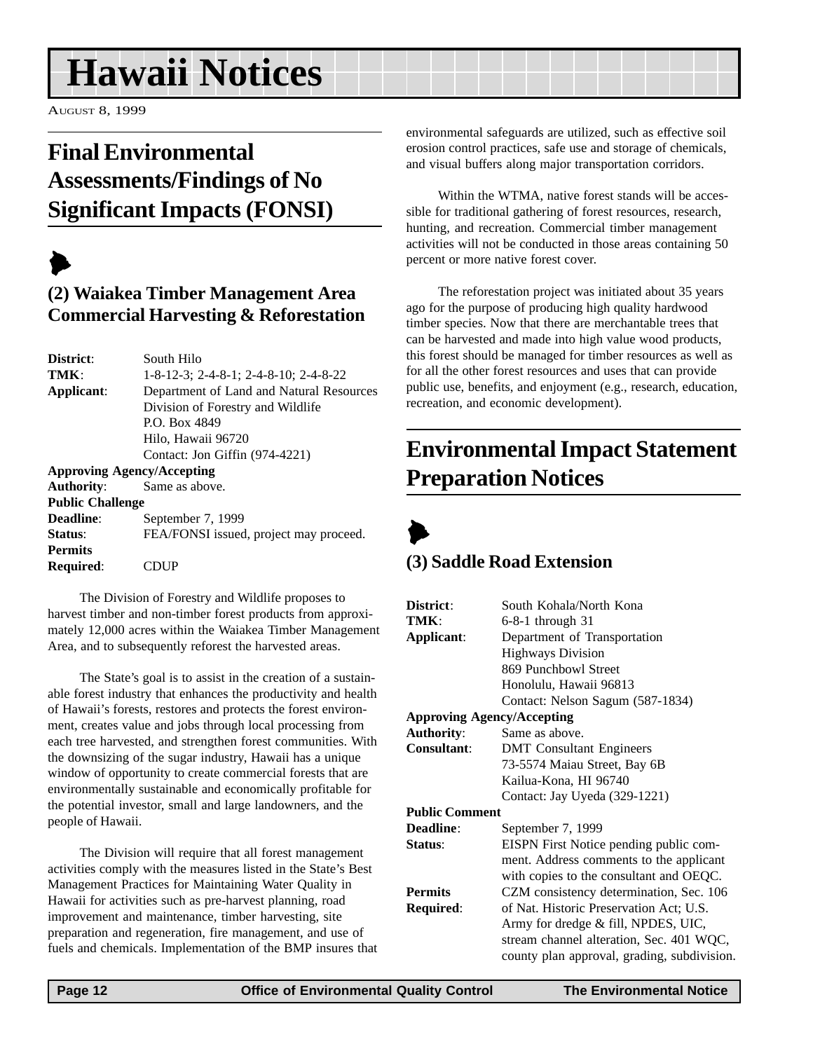# <span id="page-11-0"></span>**Hawaii Notices**

AUGUST 8, 1999

# **Final Environmental Assessments/Findings of No Significant Impacts (FONSI)**

# $\blacktriangleright$

### **(2) Waiakea Timber Management Area Commercial Harvesting & Reforestation**

| District:               | South Hilo                                       |  |  |
|-------------------------|--------------------------------------------------|--|--|
| TMK:                    | $1-8-12-3$ ; $2-4-8-1$ ; $2-4-8-10$ ; $2-4-8-22$ |  |  |
| Applicant:              | Department of Land and Natural Resources         |  |  |
|                         | Division of Forestry and Wildlife                |  |  |
|                         | P.O. Box 4849                                    |  |  |
|                         | Hilo, Hawaii 96720                               |  |  |
|                         | Contact: Jon Giffin (974-4221)                   |  |  |
|                         | <b>Approving Agency/Accepting</b>                |  |  |
| <b>Authority:</b>       | Same as above.                                   |  |  |
| <b>Public Challenge</b> |                                                  |  |  |
| Deadline:               | September 7, 1999                                |  |  |
| Status:                 | FEA/FONSI issued, project may proceed.           |  |  |
| <b>Permits</b>          |                                                  |  |  |
| <b>Required:</b>        |                                                  |  |  |

The Division of Forestry and Wildlife proposes to harvest timber and non-timber forest products from approximately 12,000 acres within the Waiakea Timber Management Area, and to subsequently reforest the harvested areas.

The State's goal is to assist in the creation of a sustainable forest industry that enhances the productivity and health of Hawaii's forests, restores and protects the forest environment, creates value and jobs through local processing from each tree harvested, and strengthen forest communities. With the downsizing of the sugar industry, Hawaii has a unique window of opportunity to create commercial forests that are environmentally sustainable and economically profitable for the potential investor, small and large landowners, and the people of Hawaii.

The Division will require that all forest management activities comply with the measures listed in the State's Best Management Practices for Maintaining Water Quality in Hawaii for activities such as pre-harvest planning, road improvement and maintenance, timber harvesting, site preparation and regeneration, fire management, and use of fuels and chemicals. Implementation of the BMP insures that environmental safeguards are utilized, such as effective soil erosion control practices, safe use and storage of chemicals, and visual buffers along major transportation corridors.

Within the WTMA, native forest stands will be accessible for traditional gathering of forest resources, research, hunting, and recreation. Commercial timber management activities will not be conducted in those areas containing 50 percent or more native forest cover.

The reforestation project was initiated about 35 years ago for the purpose of producing high quality hardwood timber species. Now that there are merchantable trees that can be harvested and made into high value wood products, this forest should be managed for timber resources as well as for all the other forest resources and uses that can provide public use, benefits, and enjoyment (e.g., research, education, recreation, and economic development).

# **Environmental Impact Statement Preparation Notices**



### **(3) Saddle Road Extension**

| District:             | South Kohala/North Kona                     |  |  |
|-----------------------|---------------------------------------------|--|--|
| TMK:                  | $6-8-1$ through 31                          |  |  |
| Applicant:            | Department of Transportation                |  |  |
|                       | <b>Highways Division</b>                    |  |  |
|                       | 869 Punchbowl Street                        |  |  |
|                       | Honolulu, Hawaii 96813                      |  |  |
|                       | Contact: Nelson Sagum (587-1834)            |  |  |
|                       | <b>Approving Agency/Accepting</b>           |  |  |
| <b>Authority:</b>     | Same as above.                              |  |  |
| <b>Consultant:</b>    | <b>DMT</b> Consultant Engineers             |  |  |
|                       | 73-5574 Maiau Street, Bay 6B                |  |  |
|                       | Kailua-Kona, HI 96740                       |  |  |
|                       | Contact: Jay Uyeda (329-1221)               |  |  |
| <b>Public Comment</b> |                                             |  |  |
| Deadline:             | September 7, 1999                           |  |  |
| Status:               | EISPN First Notice pending public com-      |  |  |
|                       | ment. Address comments to the applicant     |  |  |
|                       | with copies to the consultant and OEQC.     |  |  |
| <b>Permits</b>        | CZM consistency determination, Sec. 106     |  |  |
| Required:             | of Nat. Historic Preservation Act; U.S.     |  |  |
|                       | Army for dredge & fill, NPDES, UIC,         |  |  |
|                       | stream channel alteration, Sec. 401 WQC,    |  |  |
|                       | county plan approval, grading, subdivision. |  |  |
|                       |                                             |  |  |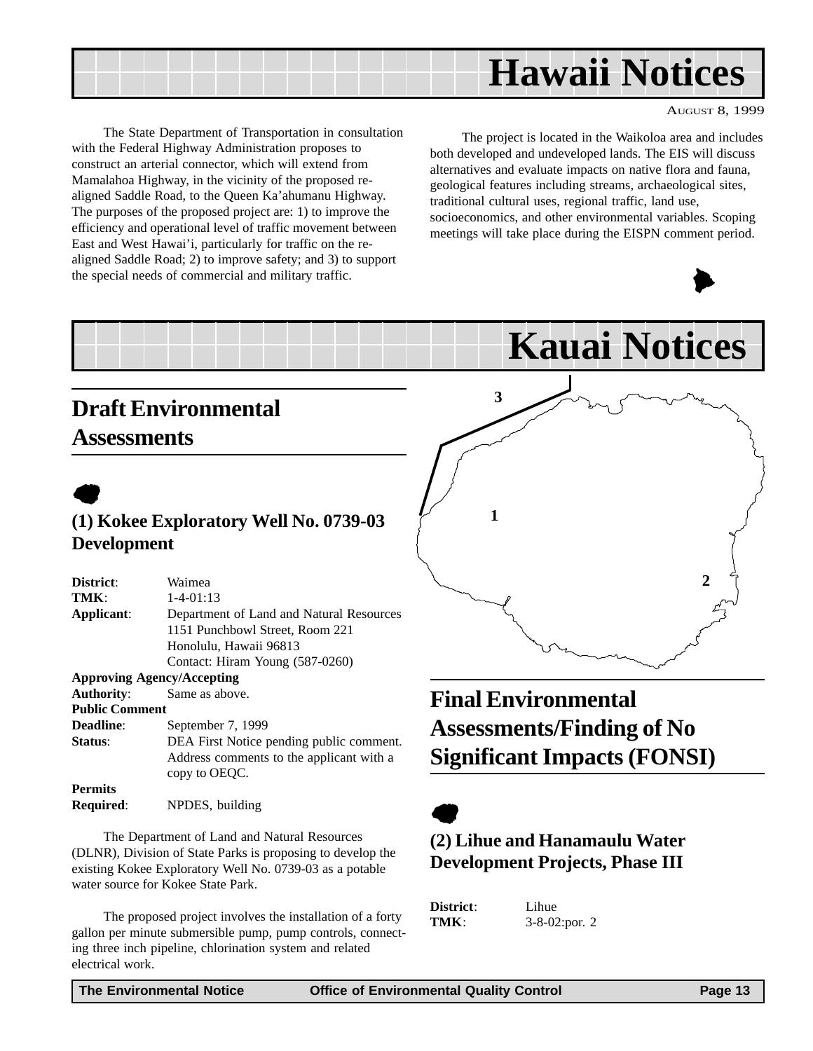<span id="page-12-0"></span>

The State Department of Transportation in consultation with the Federal Highway Administration proposes to construct an arterial connector, which will extend from Mamalahoa Highway, in the vicinity of the proposed realigned Saddle Road, to the Queen Ka'ahumanu Highway. The purposes of the proposed project are: 1) to improve the efficiency and operational level of traffic movement between East and West Hawai'i, particularly for traffic on the realigned Saddle Road; 2) to improve safety; and 3) to support the special needs of commercial and military traffic.

The project is located in the Waikoloa area and includes both developed and undeveloped lands. The EIS will discuss alternatives and evaluate impacts on native flora and fauna, geological features including streams, archaeological sites, traditional cultural uses, regional traffic, land use, socioeconomics, and other environmental variables. Scoping meetings will take place during the EISPN comment period.

**Kauai Notices**



**2**

# **Draft Environmental Assessments**

# $\bullet$ **(1) Kokee Exploratory Well No. 0739-03 Development**

| Waimea                                   |
|------------------------------------------|
| $1 - 4 - 01:13$                          |
| Department of Land and Natural Resources |
| 1151 Punchbowl Street, Room 221          |
| Honolulu, Hawaii 96813                   |
| Contact: Hiram Young (587-0260)          |
| <b>Approving Agency/Accepting</b>        |
| Same as above.                           |
| <b>Public Comment</b>                    |
| September 7, 1999                        |
| DEA First Notice pending public comment. |
| Address comments to the applicant with a |
| copy to OEOC.                            |
|                                          |
| NPDES, building                          |
|                                          |

The Department of Land and Natural Resources (DLNR), Division of State Parks is proposing to develop the existing Kokee Exploratory Well No. 0739-03 as a potable water source for Kokee State Park.

The proposed project involves the installation of a forty gallon per minute submersible pump, pump controls, connecting three inch pipeline, chlorination system and related electrical work.

# **Final Environmental Assessments/Finding of No Significant Impacts (FONSI)**



### **(2) Lihue and Hanamaulu Water Development Projects, Phase III**

| District: | Lihue             |
|-----------|-------------------|
| TMK:      | $3-8-02$ : por. 2 |

**1**

**3**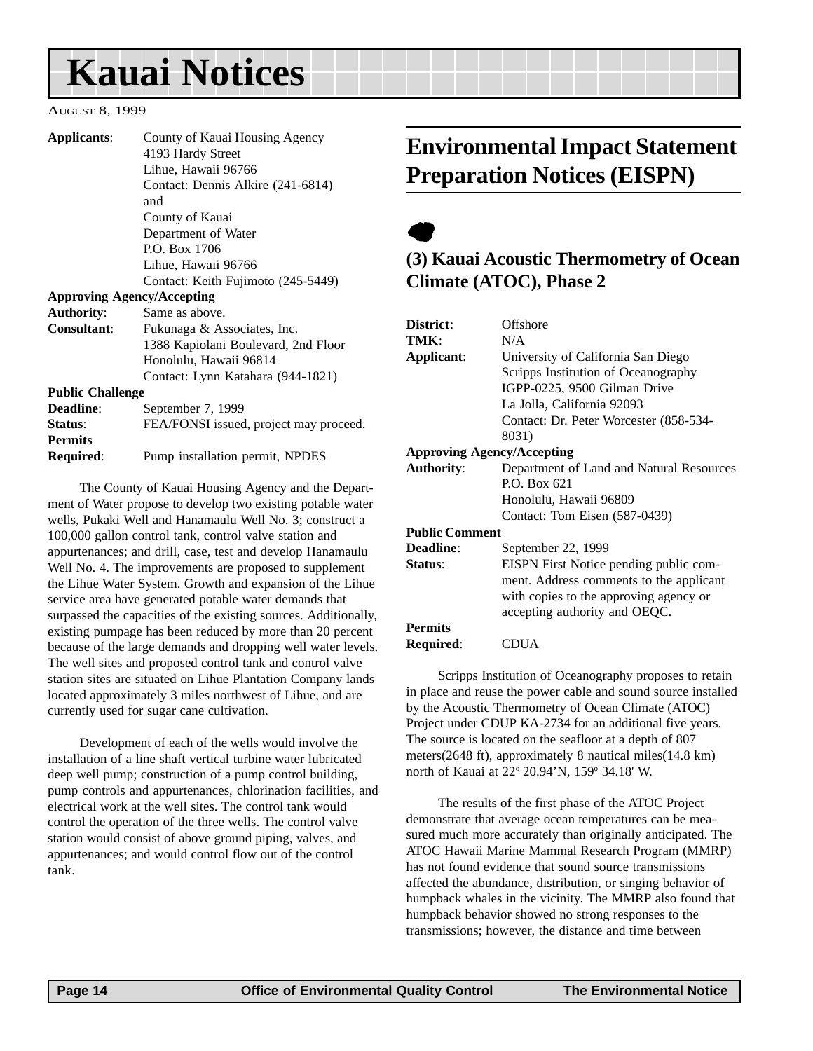# <span id="page-13-0"></span>**Kauai Notices**

#### AUGUST 8, 1999

| Applicants:                                       | County of Kauai Housing Agency         |  |
|---------------------------------------------------|----------------------------------------|--|
|                                                   |                                        |  |
|                                                   | 4193 Hardy Street                      |  |
|                                                   | Lihue, Hawaii 96766                    |  |
|                                                   | Contact: Dennis Alkire (241-6814)      |  |
|                                                   | and                                    |  |
|                                                   | County of Kauai                        |  |
|                                                   | Department of Water                    |  |
|                                                   | P.O. Box 1706                          |  |
|                                                   | Lihue, Hawaii 96766                    |  |
|                                                   | Contact: Keith Fujimoto (245-5449)     |  |
| <b>Approving Agency/Accepting</b>                 |                                        |  |
| <b>Authority:</b>                                 | Same as above.                         |  |
| <b>Consultant:</b><br>Fukunaga & Associates, Inc. |                                        |  |
|                                                   | 1388 Kapiolani Boulevard, 2nd Floor    |  |
|                                                   | Honolulu, Hawaii 96814                 |  |
|                                                   | Contact: Lynn Katahara (944-1821)      |  |
| <b>Public Challenge</b>                           |                                        |  |
| <b>Deadline:</b>                                  | September 7, 1999                      |  |
| Status:                                           | FEA/FONSI issued, project may proceed. |  |
| <b>Permits</b>                                    |                                        |  |
| Required:                                         | Pump installation permit, NPDES        |  |

The County of Kauai Housing Agency and the Department of Water propose to develop two existing potable water wells, Pukaki Well and Hanamaulu Well No. 3; construct a 100,000 gallon control tank, control valve station and appurtenances; and drill, case, test and develop Hanamaulu Well No. 4. The improvements are proposed to supplement the Lihue Water System. Growth and expansion of the Lihue service area have generated potable water demands that surpassed the capacities of the existing sources. Additionally, existing pumpage has been reduced by more than 20 percent because of the large demands and dropping well water levels. The well sites and proposed control tank and control valve station sites are situated on Lihue Plantation Company lands located approximately 3 miles northwest of Lihue, and are currently used for sugar cane cultivation.

Development of each of the wells would involve the installation of a line shaft vertical turbine water lubricated deep well pump; construction of a pump control building, pump controls and appurtenances, chlorination facilities, and electrical work at the well sites. The control tank would control the operation of the three wells. The control valve station would consist of above ground piping, valves, and appurtenances; and would control flow out of the control tank.

# **Environmental Impact Statement Preparation Notices (EISPN)**



### **(3) Kauai Acoustic Thermometry of Ocean Climate (ATOC), Phase 2**

| District:                         | Offshore                                 |  |  |  |  |
|-----------------------------------|------------------------------------------|--|--|--|--|
| TMK:                              | N/A                                      |  |  |  |  |
| Applicant:                        | University of California San Diego       |  |  |  |  |
|                                   | Scripps Institution of Oceanography      |  |  |  |  |
|                                   | IGPP-0225, 9500 Gilman Drive             |  |  |  |  |
|                                   | La Jolla, California 92093               |  |  |  |  |
|                                   | Contact: Dr. Peter Worcester (858-534-   |  |  |  |  |
|                                   | 8031)                                    |  |  |  |  |
| <b>Approving Agency/Accepting</b> |                                          |  |  |  |  |
| <b>Authority:</b>                 | Department of Land and Natural Resources |  |  |  |  |
|                                   | P.O. Box 621                             |  |  |  |  |
|                                   | Honolulu, Hawaii 96809                   |  |  |  |  |
|                                   | Contact: Tom Eisen (587-0439)            |  |  |  |  |
| <b>Public Comment</b>             |                                          |  |  |  |  |
| Deadline:                         | September 22, 1999                       |  |  |  |  |
| Status:                           | EISPN First Notice pending public com-   |  |  |  |  |
|                                   | ment. Address comments to the applicant  |  |  |  |  |
|                                   | with copies to the approving agency or   |  |  |  |  |
|                                   | accepting authority and OEQC.            |  |  |  |  |
| <b>Permits</b>                    |                                          |  |  |  |  |
| <b>Required:</b>                  | 'DUA                                     |  |  |  |  |

Scripps Institution of Oceanography proposes to retain in place and reuse the power cable and sound source installed by the Acoustic Thermometry of Ocean Climate (ATOC) Project under CDUP KA-2734 for an additional five years. The source is located on the seafloor at a depth of 807 meters(2648 ft), approximately 8 nautical miles(14.8 km) north of Kauai at 22° 20.94'N, 159° 34.18' W.

The results of the first phase of the ATOC Project demonstrate that average ocean temperatures can be measured much more accurately than originally anticipated. The ATOC Hawaii Marine Mammal Research Program (MMRP) has not found evidence that sound source transmissions affected the abundance, distribution, or singing behavior of humpback whales in the vicinity. The MMRP also found that humpback behavior showed no strong responses to the transmissions; however, the distance and time between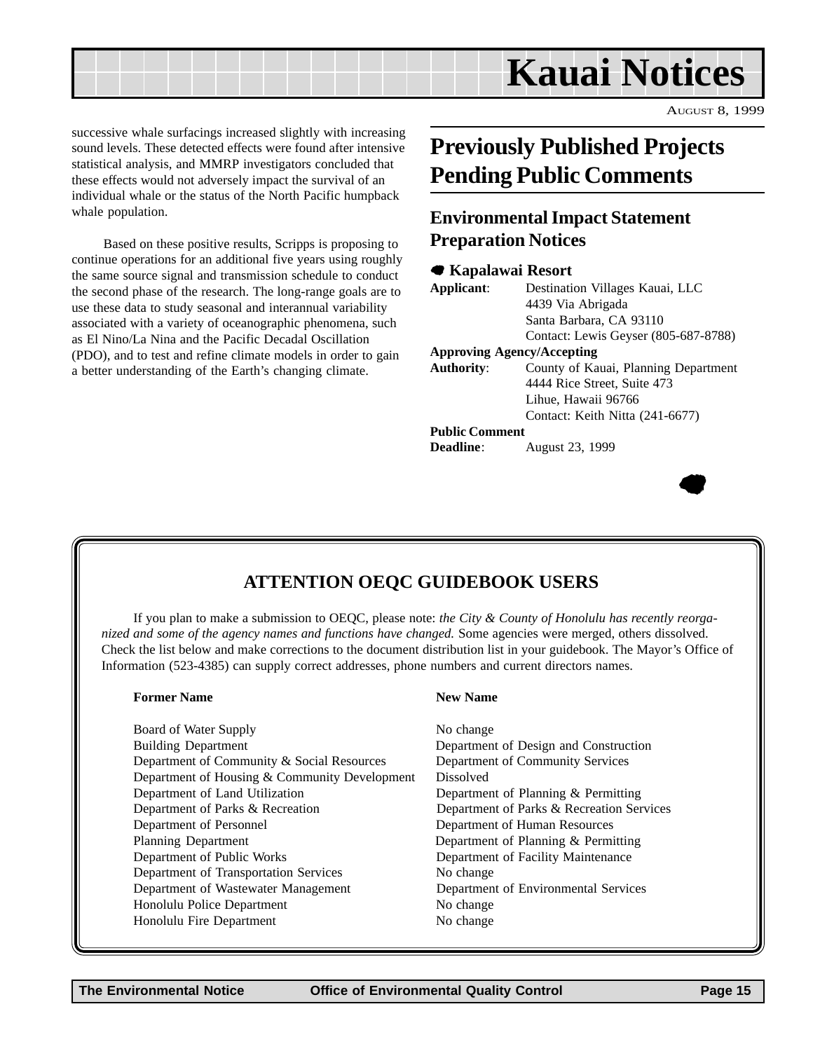<span id="page-14-0"></span>

 $\bullet$ 

successive whale surfacings increased slightly with increasing sound levels. These detected effects were found after intensive statistical analysis, and MMRP investigators concluded that these effects would not adversely impact the survival of an individual whale or the status of the North Pacific humpback whale population.

Based on these positive results, Scripps is proposing to continue operations for an additional five years using roughly the same source signal and transmission schedule to conduct the second phase of the research. The long-range goals are to use these data to study seasonal and interannual variability associated with a variety of oceanographic phenomena, such as El Nino/La Nina and the Pacific Decadal Oscillation (PDO), and to test and refine climate models in order to gain a better understanding of the Earth's changing climate.

# **Previously Published Projects Pending Public Comments**

### **Environmental Impact Statement Preparation Notices**

#### 7 **Kapalawai Resort**

| Applicant:                        | Destination Villages Kauai, LLC      |  |  |  |
|-----------------------------------|--------------------------------------|--|--|--|
|                                   | 4439 Via Abrigada                    |  |  |  |
|                                   | Santa Barbara, CA 93110              |  |  |  |
|                                   | Contact: Lewis Geyser (805-687-8788) |  |  |  |
| <b>Approving Agency/Accepting</b> |                                      |  |  |  |
| <b>Authority:</b>                 | County of Kauai, Planning Department |  |  |  |
|                                   | 4444 Rice Street, Suite 473          |  |  |  |
|                                   | Lihue, Hawaii 96766                  |  |  |  |
|                                   | Contact: Keith Nitta (241-6677)      |  |  |  |
| <b>Public Comment</b>             |                                      |  |  |  |
| <b>Deadline:</b>                  | August 23, 1999                      |  |  |  |

# **ATTENTION OEQC GUIDEBOOK USERS**

If you plan to make a submission to OEQC, please note: *the City & County of Honolulu has recently reorganized and some of the agency names and functions have changed.* Some agencies were merged, others dissolved. Check the list below and make corrections to the document distribution list in your guidebook. The Mayor's Office of Information (523-4385) can supply correct addresses, phone numbers and current directors names.

| <b>Former Name</b>                            | <b>New Name</b>                           |  |  |
|-----------------------------------------------|-------------------------------------------|--|--|
| Board of Water Supply                         | No change                                 |  |  |
| <b>Building Department</b>                    | Department of Design and Construction     |  |  |
| Department of Community & Social Resources    | Department of Community Services          |  |  |
| Department of Housing & Community Development | <b>Dissolved</b>                          |  |  |
| Department of Land Utilization                | Department of Planning & Permitting       |  |  |
| Department of Parks & Recreation              | Department of Parks & Recreation Services |  |  |
| Department of Personnel                       | Department of Human Resources             |  |  |
| <b>Planning Department</b>                    | Department of Planning & Permitting       |  |  |
| Department of Public Works                    | Department of Facility Maintenance        |  |  |
| Department of Transportation Services         | No change                                 |  |  |
| Department of Wastewater Management           | Department of Environmental Services      |  |  |
| Honolulu Police Department                    | No change                                 |  |  |
| Honolulu Fire Department                      | No change                                 |  |  |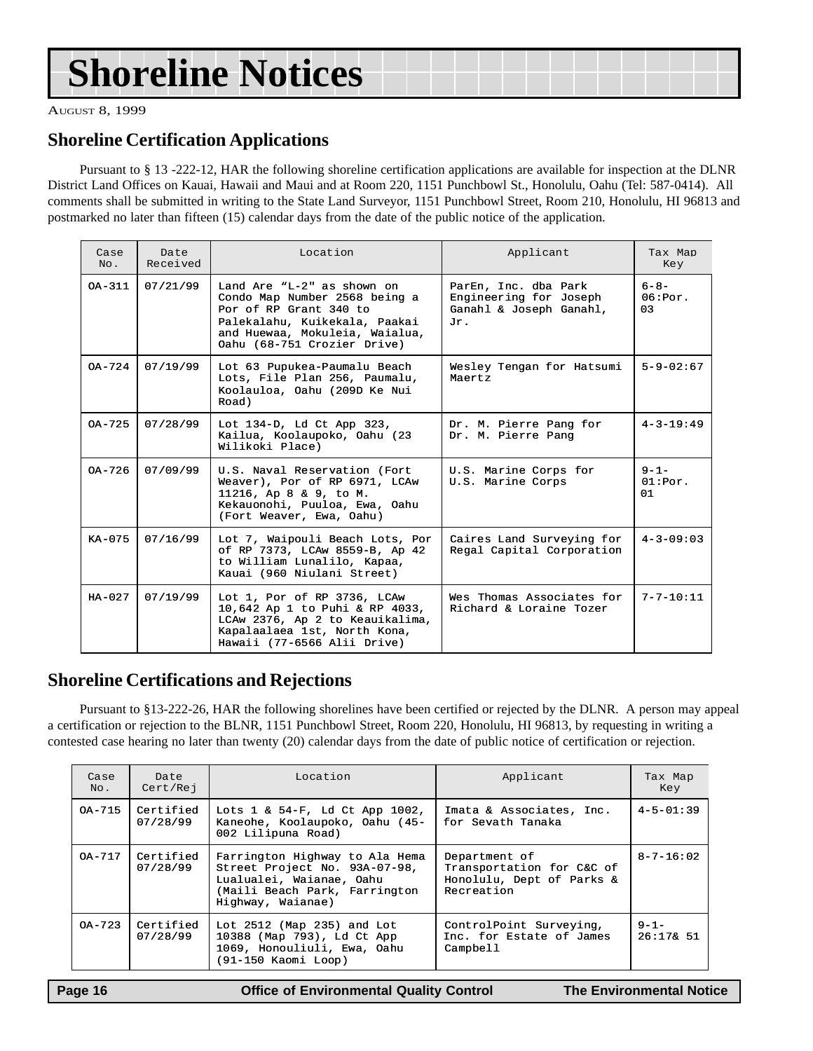# <span id="page-15-0"></span>**Shoreline Notices**

AUGUST 8, 1999

### **Shoreline Certification Applications**

Pursuant to § 13 -222-12, HAR the following shoreline certification applications are available for inspection at the DLNR District Land Offices on Kauai, Hawaii and Maui and at Room 220, 1151 Punchbowl St., Honolulu, Oahu (Tel: 587-0414). All comments shall be submitted in writing to the State Land Surveyor, 1151 Punchbowl Street, Room 210, Honolulu, HI 96813 and postmarked no later than fifteen (15) calendar days from the date of the public notice of the application.

| Case<br>No. | Date<br>Received                                                                                                                                                                                               | Location<br>Applicant                                                                                                                                           |                                                                           | Tax Map<br>Key                         |
|-------------|----------------------------------------------------------------------------------------------------------------------------------------------------------------------------------------------------------------|-----------------------------------------------------------------------------------------------------------------------------------------------------------------|---------------------------------------------------------------------------|----------------------------------------|
| $OA - 311$  | 07/21/99<br>Land Are "L- $2$ " as shown on<br>Condo Map Number 2568 being a<br>Por of RP Grant 340 to<br>Palekalahu, Kuikekala, Paakai<br>Jr.<br>and Huewaa, Mokuleia, Waialua,<br>Oahu (68-751 Crozier Drive) |                                                                                                                                                                 | ParEn, Inc. dba Park<br>Engineering for Joseph<br>Ganahl & Joseph Ganahl, | $6 - 8 -$<br>06:Por.<br>0 <sub>3</sub> |
| $OA-724$    | 07/19/99                                                                                                                                                                                                       | Lot 63 Pupukea-Paumalu Beach<br>Lots, File Plan 256, Paumalu,<br>Koolauloa, Oahu (209D Ke Nui<br>Road)                                                          | Wesley Tengan for Hatsumi<br>Maertz                                       | $5 - 9 - 02:67$                        |
| $OA-725$    | 07/28/99                                                                                                                                                                                                       | Lot 134-D, Ld Ct App 323,<br>Kailua, Koolaupoko, Oahu (23<br>Wilikoki Place)                                                                                    | Dr. M. Pierre Pang for<br>Dr. M. Pierre Pang                              | $4 - 3 - 19:49$                        |
| $0A-726$    | 07/09/99                                                                                                                                                                                                       | U.S. Naval Reservation (Fort<br>Weaver), Por of RP 6971, LCAw<br>11216, Ap 8 & 9, to M.<br>Kekauonohi, Puuloa, Ewa, Oahu<br>(Fort Weaver, Ewa, Oahu)            | U.S. Marine Corps for<br>U.S. Marine Corps                                | $9 - 1 -$<br>01:Por.<br>01             |
| $KA-075$    | 07/16/99                                                                                                                                                                                                       | Lot 7, Waipouli Beach Lots, Por<br>of RP 7373, LCAw 8559-B, Ap 42<br>to William Lunalilo, Kapaa,<br>Kauai (960 Niulani Street)                                  | Caires Land Surveying for<br>Regal Capital Corporation                    | $4 - 3 - 09:03$                        |
| $HA-027$    | 07/19/99                                                                                                                                                                                                       | Lot 1, Por of RP 3736, LCAw<br>10,642 Ap 1 to Puhi & RP 4033,<br>LCAw 2376, Ap 2 to Keauikalima,<br>Kapalaalaea 1st, North Kona,<br>Hawaii (77-6566 Alii Drive) | Wes Thomas Associates for<br>Richard & Loraine Tozer                      | $7 - 7 - 10:11$                        |

### **Shoreline Certifications and Rejections**

Pursuant to §13-222-26, HAR the following shorelines have been certified or rejected by the DLNR. A person may appeal a certification or rejection to the BLNR, 1151 Punchbowl Street, Room 220, Honolulu, HI 96813, by requesting in writing a contested case hearing no later than twenty (20) calendar days from the date of public notice of certification or rejection.

| Case<br>No. | Date<br>Cert/Rej      | Location                                                                                                                                          | Applicant                                                                             | Tax Map<br>Key         |
|-------------|-----------------------|---------------------------------------------------------------------------------------------------------------------------------------------------|---------------------------------------------------------------------------------------|------------------------|
| OA-715      | Certified<br>07/28/99 | Lots $1 \& 54-F$ , Ld Ct App 1002,<br>Kaneohe, Koolaupoko, Oahu (45-<br>002 Lilipuna Road)                                                        | Imata & Associates, Inc.<br>for Sevath Tanaka                                         | $4 - 5 - 01:39$        |
| $OA - 717$  | Certified<br>07/28/99 | Farrington Highway to Ala Hema<br>Street Project No. 93A-07-98,<br>Lualualei, Waianae, Oahu<br>(Maili Beach Park, Farrington<br>Highway, Waianae) | Department of<br>Transportation for C&C of<br>Honolulu, Dept of Parks &<br>Recreation | $8 - 7 - 16:02$        |
| $OA - 723$  | Certified<br>07/28/99 | Lot $2512$ (Map $235$ ) and Lot<br>10388 (Map 793), Ld Ct App<br>1069, Honouliuli, Ewa, Oahu<br>(91-150 Kaomi Loop)                               | ControlPoint Surveying,<br>Inc. for Estate of James<br>Campbell                       | $9 - 1 -$<br>26:178.51 |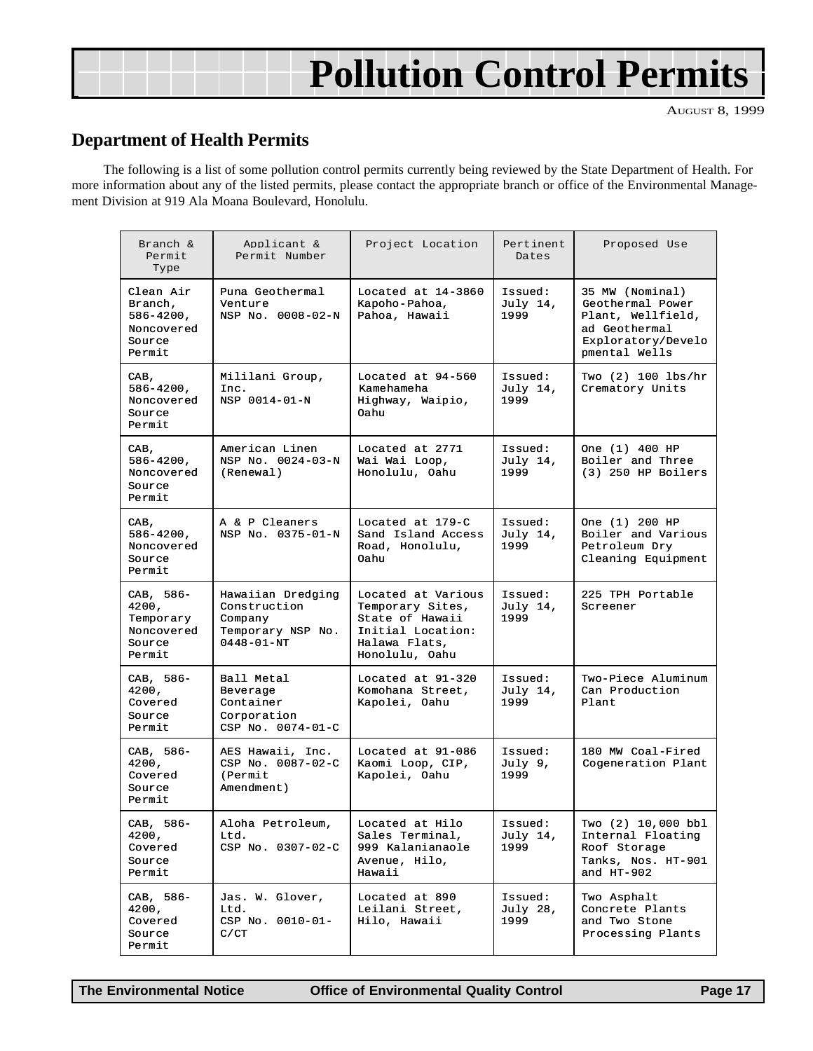# **Pollution Control Permits**

AUGUST 8, 1999

### **Department of Health Permits**

The following is a list of some pollution control permits currently being reviewed by the State Department of Health. For more information about any of the listed permits, please contact the appropriate branch or office of the Environmental Management Division at 919 Ala Moana Boulevard, Honolulu.

| Branch &<br>Permit<br>Type                                               | Applicant &<br>Permit Number                                                          | Project Location                                                                                                  | Pertinent<br>Dates          | Proposed Use                                                                                                     |
|--------------------------------------------------------------------------|---------------------------------------------------------------------------------------|-------------------------------------------------------------------------------------------------------------------|-----------------------------|------------------------------------------------------------------------------------------------------------------|
| Clean Air<br>Branch,<br>$586 - 4200$ ,<br>Noncovered<br>Source<br>Permit | Puna Geothermal<br>Venture<br>NSP No. 0008-02-N                                       | Located at 14-3860<br>Kapoho-Pahoa,<br>Pahoa, Hawaii                                                              | Issued:<br>July 14,<br>1999 | 35 MW (Nominal)<br>Geothermal Power<br>Plant, Wellfield,<br>ad Geothermal<br>Exploratory/Develo<br>pmental Wells |
| CAB,<br>$586 - 4200$ ,<br>Noncovered<br>Source<br>Permit                 | Mililani Group,<br>Inc.<br>NSP 0014-01-N                                              | Located at 94-560<br>Kamehameha<br>Highway, Waipio,<br>Oahu                                                       | Issued:<br>July 14,<br>1999 | Two (2) 100 lbs/hr<br>Crematory Units                                                                            |
| CAB,<br>$586 - 4200$ ,<br>Noncovered<br>Source<br>Permit                 | American Linen<br>NSP No. 0024-03-N<br>(Renewal)                                      | Located at 2771<br>Wai Wai Loop,<br>Honolulu, Oahu                                                                | Issued:<br>July 14,<br>1999 | One (1) 400 HP<br>Boiler and Three<br>$(3)$ 250 HP Boilers                                                       |
| CAB,<br>$586 - 4200$ ,<br>Noncovered<br>Source<br>Permit                 | A & P Cleaners<br>NSP No. 0375-01-N                                                   | Located at 179-C<br>Sand Island Access<br>Road, Honolulu,<br>Oahu                                                 | Issued:<br>July 14,<br>1999 | One (1) 200 HP<br>Boiler and Various<br>Petroleum Dry<br>Cleaning Equipment                                      |
| CAB, 586-<br>4200,<br>Temporary<br>Noncovered<br>Source<br>Permit        | Hawaiian Dredging<br>Construction<br>Company<br>Temporary NSP No.<br>$0448 - 01 - NT$ | Located at Various<br>Temporary Sites,<br>State of Hawaii<br>Initial Location:<br>Halawa Flats,<br>Honolulu, Oahu | Issued:<br>July 14,<br>1999 | 225 TPH Portable<br>Screener                                                                                     |
| CAB, 586-<br>4200,<br>Covered<br>Source<br>Permit                        | Ball Metal<br>Beverage<br>Container<br>Corporation<br>CSP No. 0074-01-C               | Located at 91-320<br>Komohana Street,<br>Kapolei, Oahu                                                            | Issued:<br>July 14,<br>1999 | Two-Piece Aluminum<br>Can Production<br>Plant                                                                    |
| CAB, 586-<br>4200,<br>Covered<br>Source<br>Permit                        | AES Hawaii, Inc.<br>CSP No. 0087-02-C<br>(Permit<br>Amendment)                        | Located at 91-086<br>Kaomi Loop, CIP,<br>Kapolei, Oahu                                                            | Issued:<br>July 9,<br>1999  | 180 MW Coal-Fired<br>Cogeneration Plant                                                                          |
| CAB, 586-<br>4200,<br>Covered<br>Source<br>Permit                        | Aloha Petroleum,<br>Ltd.<br>CSP No. 0307-02-C                                         | Located at Hilo<br>Sales Terminal,<br>999 Kalanianaole<br>Avenue, Hilo,<br>Hawaii                                 | Issued:<br>July 14,<br>1999 | Two (2) 10,000 bbl<br>Internal Floating<br>Roof Storage<br>Tanks, Nos. HT-901<br>and $HT-902$                    |
| CAB, 586-<br>4200,<br>Covered<br>Source<br>Permit                        | Jas. W. Glover,<br>Ltd.<br>CSP No. 0010-01-<br>C/CT                                   | Located at 890<br>Leilani Street,<br>Hilo, Hawaii                                                                 | Issued:<br>July 28,<br>1999 | Two Asphalt<br>Concrete Plants<br>and Two Stone<br>Processing Plants                                             |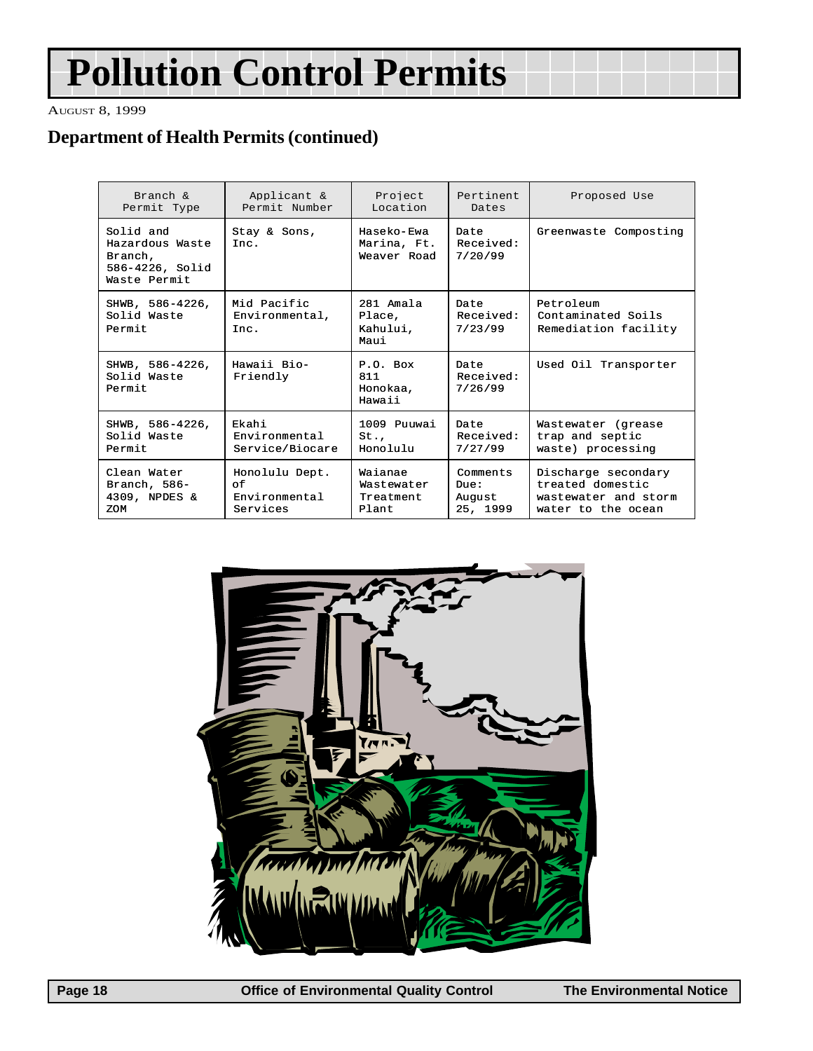# **Pollution Control Permits**

AUGUST 8, 1999

### **Department of Health Permits (continued)**

| Branch &                                                                   | Applicant &                           | Project                                  | Pertinent                    | Proposed Use                                            |
|----------------------------------------------------------------------------|---------------------------------------|------------------------------------------|------------------------------|---------------------------------------------------------|
| Permit Type                                                                | Permit Number                         | Location                                 | Dates                        |                                                         |
| Solid and<br>Hazardous Waste<br>Branch,<br>586-4226, Solid<br>Waste Permit | Stay & Sons,<br>Inc.                  | Haseko-Ewa<br>Marina, Ft.<br>Weaver Road | Date<br>Received:<br>7/20/99 | Greenwaste Composting                                   |
| SHWB, 586-4226,<br>Solid Waste<br>Permit                                   | Mid Pacific<br>Environmental,<br>Inc. | 281 Amala<br>Place,<br>Kahului,<br>Maui  | Date<br>Received:<br>7/23/99 | Petroleum<br>Contaminated Soils<br>Remediation facility |
| SHWB, 586-4226,<br>Solid Waste<br>Permit                                   | Hawaii Bio-<br>Friendly               | $P.0.$ Box<br>811<br>Honokaa.<br>Hawaii  | Date<br>Received:<br>7/26/99 | Used Oil Transporter                                    |
| SHWB, 586-4226,                                                            | Ekahi                                 | 1009 Puuwai                              | Date                         | Wastewater (grease                                      |
| Solid Waste                                                                | Environmental                         | St.                                      | Received:                    | trap and septic                                         |
| Permit                                                                     | Service/Biocare                       | Honolulu                                 | 7/27/99                      | waste) processing                                       |
| Clean Water                                                                | Honolulu Dept.                        | Waianae                                  | Comments                     | Discharge secondary                                     |
| Branch, $586-$                                                             | οf                                    | Wastewater                               | Due:                         | treated domestic                                        |
| 4309, NPDES &                                                              | Environmental                         | Treatment                                | August                       | wastewater and storm                                    |
| ZOM                                                                        | Services                              | Plant.                                   | 25, 1999                     | water to the ocean                                      |

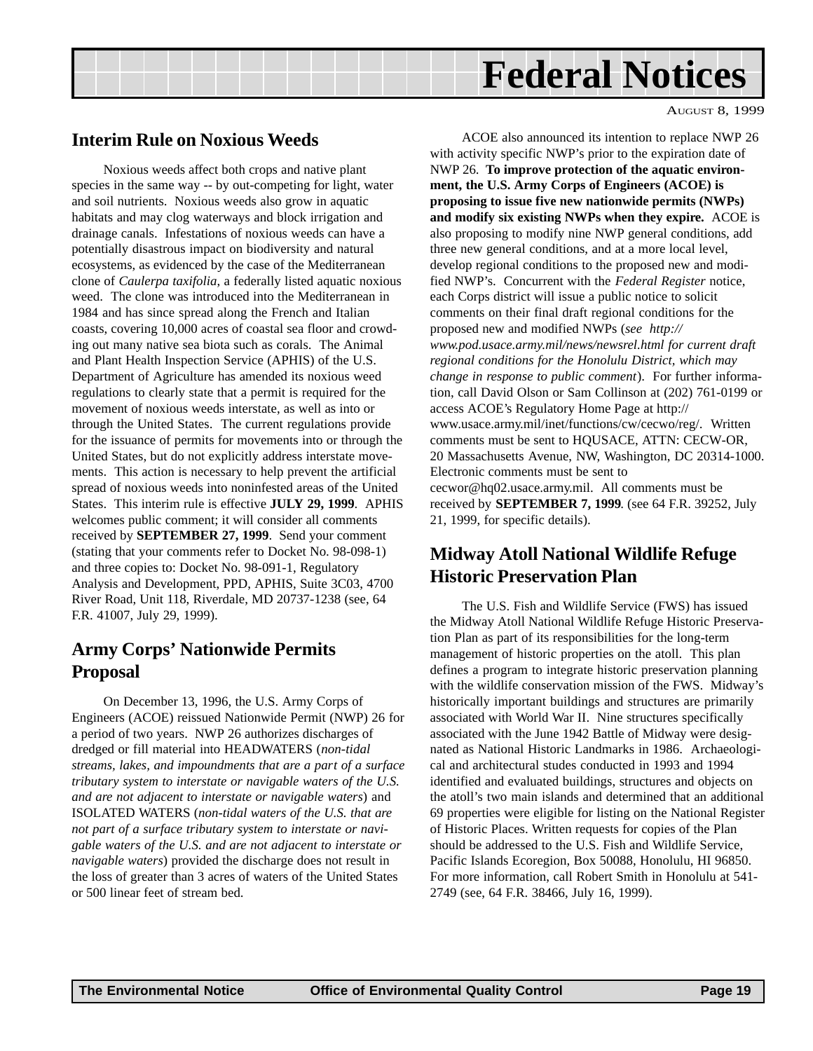# **Federal Notices**

### <span id="page-18-0"></span>**Interim Rule on Noxious Weeds**

Noxious weeds affect both crops and native plant species in the same way -- by out-competing for light, water and soil nutrients. Noxious weeds also grow in aquatic habitats and may clog waterways and block irrigation and drainage canals. Infestations of noxious weeds can have a potentially disastrous impact on biodiversity and natural ecosystems, as evidenced by the case of the Mediterranean clone of *Caulerpa taxifolia*, a federally listed aquatic noxious weed. The clone was introduced into the Mediterranean in 1984 and has since spread along the French and Italian coasts, covering 10,000 acres of coastal sea floor and crowding out many native sea biota such as corals. The Animal and Plant Health Inspection Service (APHIS) of the U.S. Department of Agriculture has amended its noxious weed regulations to clearly state that a permit is required for the movement of noxious weeds interstate, as well as into or through the United States. The current regulations provide for the issuance of permits for movements into or through the United States, but do not explicitly address interstate movements. This action is necessary to help prevent the artificial spread of noxious weeds into noninfested areas of the United States. This interim rule is effective **JULY 29, 1999**. APHIS welcomes public comment; it will consider all comments received by **SEPTEMBER 27, 1999**. Send your comment (stating that your comments refer to Docket No. 98-098-1) and three copies to: Docket No. 98-091-1, Regulatory Analysis and Development, PPD, APHIS, Suite 3C03, 4700 River Road, Unit 118, Riverdale, MD 20737-1238 (see, 64 F.R. 41007, July 29, 1999).

### **Army Corps' Nationwide Permits Proposal**

On December 13, 1996, the U.S. Army Corps of Engineers (ACOE) reissued Nationwide Permit (NWP) 26 for a period of two years. NWP 26 authorizes discharges of dredged or fill material into HEADWATERS (*non-tidal streams, lakes, and impoundments that are a part of a surface tributary system to interstate or navigable waters of the U.S. and are not adjacent to interstate or navigable waters*) and ISOLATED WATERS (*non-tidal waters of the U.S. that are not part of a surface tributary system to interstate or navigable waters of the U.S. and are not adjacent to interstate or navigable waters*) provided the discharge does not result in the loss of greater than 3 acres of waters of the United States or 500 linear feet of stream bed.

AUGUST 8, 1999

ACOE also announced its intention to replace NWP 26 with activity specific NWP's prior to the expiration date of NWP 26. **To improve protection of the aquatic environment, the U.S. Army Corps of Engineers (ACOE) is proposing to issue five new nationwide permits (NWPs) and modify six existing NWPs when they expire.** ACOE is also proposing to modify nine NWP general conditions, add three new general conditions, and at a more local level, develop regional conditions to the proposed new and modified NWP's. Concurrent with the *Federal Register* notice, each Corps district will issue a public notice to solicit comments on their final draft regional conditions for the proposed new and modified NWPs (*see http:// www.pod.usace.army.mil/news/newsrel.html for current draft regional conditions for the Honolulu District, which may change in response to public comment*). For further information, call David Olson or Sam Collinson at (202) 761-0199 or access ACOE's Regulatory Home Page at http:// www.usace.army.mil/inet/functions/cw/cecwo/reg/. Written comments must be sent to HQUSACE, ATTN: CECW-OR, 20 Massachusetts Avenue, NW, Washington, DC 20314-1000. Electronic comments must be sent to cecwor@hq02.usace.army.mil. All comments must be received by **SEPTEMBER 7, 1999**. (see 64 F.R. 39252, July 21, 1999, for specific details).

### **Midway Atoll National Wildlife Refuge Historic Preservation Plan**

The U.S. Fish and Wildlife Service (FWS) has issued the Midway Atoll National Wildlife Refuge Historic Preservation Plan as part of its responsibilities for the long-term management of historic properties on the atoll. This plan defines a program to integrate historic preservation planning with the wildlife conservation mission of the FWS. Midway's historically important buildings and structures are primarily associated with World War II. Nine structures specifically associated with the June 1942 Battle of Midway were designated as National Historic Landmarks in 1986. Archaeological and architectural studes conducted in 1993 and 1994 identified and evaluated buildings, structures and objects on the atoll's two main islands and determined that an additional 69 properties were eligible for listing on the National Register of Historic Places. Written requests for copies of the Plan should be addressed to the U.S. Fish and Wildlife Service, Pacific Islands Ecoregion, Box 50088, Honolulu, HI 96850. For more information, call Robert Smith in Honolulu at 541- 2749 (see, 64 F.R. 38466, July 16, 1999).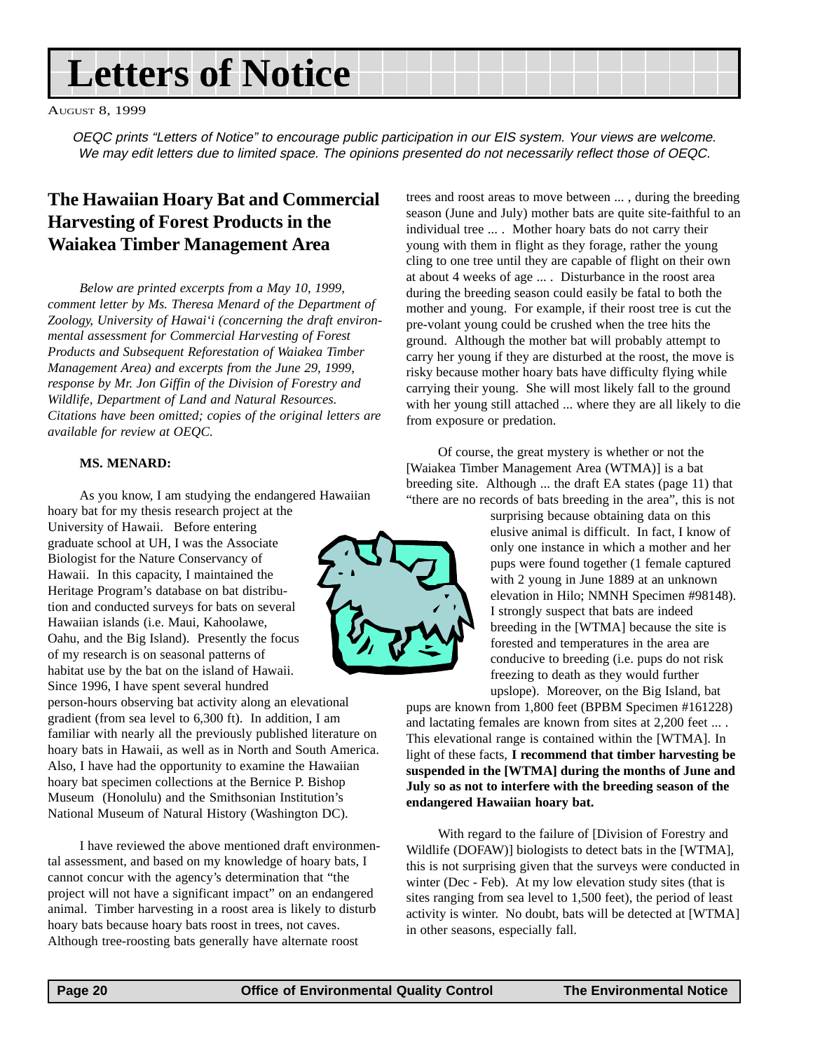# **Letters of Notice**

AUGUST 8, 1999

OEQC prints "Letters of Notice" to encourage public participation in our EIS system. Your views are welcome. We may edit letters due to limited space. The opinions presented do not necessarily reflect those of OEQC.

### **The Hawaiian Hoary Bat and Commercial Harvesting of Forest Products in the Waiakea Timber Management Area**

*Below are printed excerpts from a May 10, 1999, comment letter by Ms. Theresa Menard of the Department of Zoology, University of Hawai'i (concerning the draft environmental assessment for Commercial Harvesting of Forest Products and Subsequent Reforestation of Waiakea Timber Management Area) and excerpts from the June 29, 1999, response by Mr. Jon Giffin of the Division of Forestry and Wildlife, Department of Land and Natural Resources. Citations have been omitted; copies of the original letters are available for review at OEQC.*

#### **MS. MENARD:**

As you know, I am studying the endangered Hawaiian hoary bat for my thesis research project at the

University of Hawaii. Before entering graduate school at UH, I was the Associate Biologist for the Nature Conservancy of Hawaii. In this capacity, I maintained the Heritage Program's database on bat distribution and conducted surveys for bats on several Hawaiian islands (i.e. Maui, Kahoolawe, Oahu, and the Big Island). Presently the focus of my research is on seasonal patterns of habitat use by the bat on the island of Hawaii. Since 1996, I have spent several hundred

person-hours observing bat activity along an elevational gradient (from sea level to 6,300 ft). In addition, I am familiar with nearly all the previously published literature on hoary bats in Hawaii, as well as in North and South America. Also, I have had the opportunity to examine the Hawaiian hoary bat specimen collections at the Bernice P. Bishop Museum (Honolulu) and the Smithsonian Institution's National Museum of Natural History (Washington DC).

I have reviewed the above mentioned draft environmental assessment, and based on my knowledge of hoary bats, I cannot concur with the agency's determination that "the project will not have a significant impact" on an endangered animal. Timber harvesting in a roost area is likely to disturb hoary bats because hoary bats roost in trees, not caves. Although tree-roosting bats generally have alternate roost



trees and roost areas to move between ... , during the breeding season (June and July) mother bats are quite site-faithful to an individual tree ... . Mother hoary bats do not carry their young with them in flight as they forage, rather the young cling to one tree until they are capable of flight on their own at about 4 weeks of age ... . Disturbance in the roost area during the breeding season could easily be fatal to both the mother and young. For example, if their roost tree is cut the pre-volant young could be crushed when the tree hits the ground. Although the mother bat will probably attempt to carry her young if they are disturbed at the roost, the move is risky because mother hoary bats have difficulty flying while carrying their young. She will most likely fall to the ground with her young still attached ... where they are all likely to die from exposure or predation.

Of course, the great mystery is whether or not the [Waiakea Timber Management Area (WTMA)] is a bat breeding site. Although ... the draft EA states (page 11) that "there are no records of bats breeding in the area", this is not

> surprising because obtaining data on this elusive animal is difficult. In fact, I know of only one instance in which a mother and her pups were found together (1 female captured with 2 young in June 1889 at an unknown elevation in Hilo; NMNH Specimen #98148). I strongly suspect that bats are indeed breeding in the [WTMA] because the site is forested and temperatures in the area are conducive to breeding (i.e. pups do not risk freezing to death as they would further upslope). Moreover, on the Big Island, bat

pups are known from 1,800 feet (BPBM Specimen #161228) and lactating females are known from sites at 2,200 feet ... . This elevational range is contained within the [WTMA]. In light of these facts, **I recommend that timber harvesting be suspended in the [WTMA] during the months of June and July so as not to interfere with the breeding season of the endangered Hawaiian hoary bat.**

With regard to the failure of [Division of Forestry and Wildlife (DOFAW)] biologists to detect bats in the [WTMA], this is not surprising given that the surveys were conducted in winter (Dec - Feb). At my low elevation study sites (that is sites ranging from sea level to 1,500 feet), the period of least activity is winter. No doubt, bats will be detected at [WTMA] in other seasons, especially fall.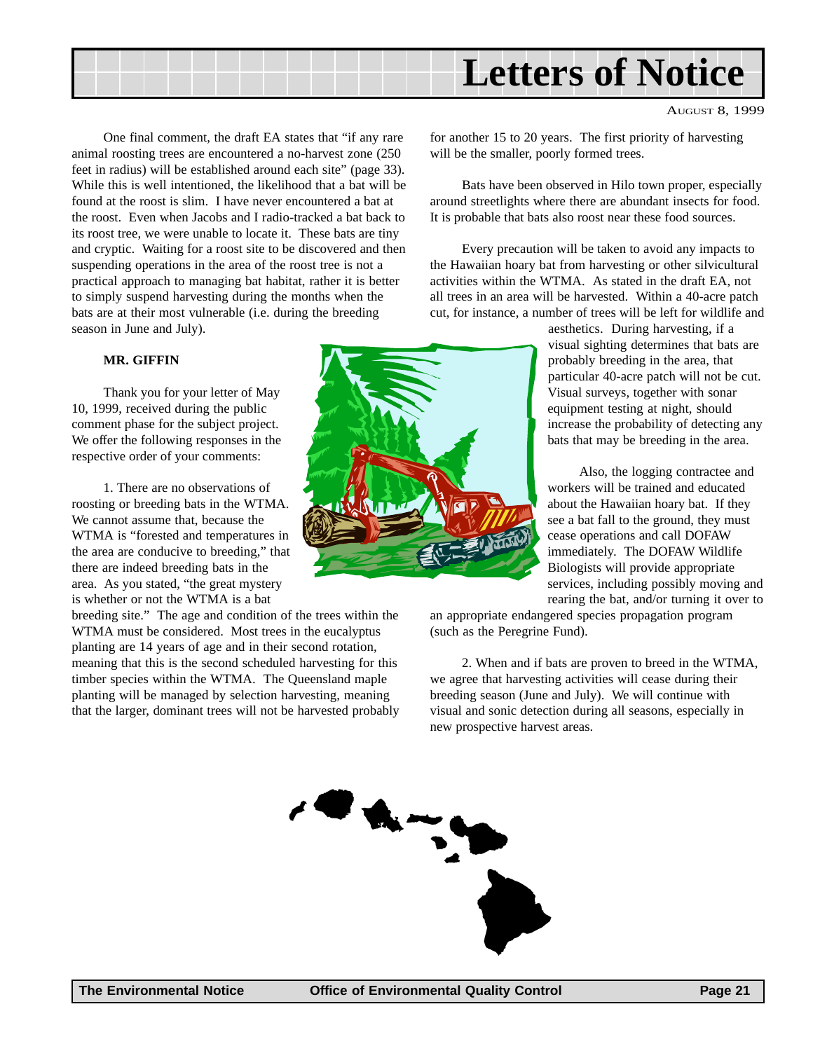

One final comment, the draft EA states that "if any rare animal roosting trees are encountered a no-harvest zone (250 feet in radius) will be established around each site" (page 33). While this is well intentioned, the likelihood that a bat will be found at the roost is slim. I have never encountered a bat at the roost. Even when Jacobs and I radio-tracked a bat back to its roost tree, we were unable to locate it. These bats are tiny and cryptic. Waiting for a roost site to be discovered and then suspending operations in the area of the roost tree is not a practical approach to managing bat habitat, rather it is better to simply suspend harvesting during the months when the bats are at their most vulnerable (i.e. during the breeding season in June and July).

#### **MR. GIFFIN**

Thank you for your letter of May 10, 1999, received during the public comment phase for the subject project. We offer the following responses in the respective order of your comments:

1. There are no observations of roosting or breeding bats in the WTMA. We cannot assume that, because the WTMA is "forested and temperatures in the area are conducive to breeding," that there are indeed breeding bats in the area. As you stated, "the great mystery is whether or not the WTMA is a bat

breeding site." The age and condition of the trees within the WTMA must be considered. Most trees in the eucalyptus planting are 14 years of age and in their second rotation, meaning that this is the second scheduled harvesting for this timber species within the WTMA. The Queensland maple planting will be managed by selection harvesting, meaning that the larger, dominant trees will not be harvested probably



AUGUST 8, 1999

for another 15 to 20 years. The first priority of harvesting will be the smaller, poorly formed trees.

Bats have been observed in Hilo town proper, especially around streetlights where there are abundant insects for food. It is probable that bats also roost near these food sources.

Every precaution will be taken to avoid any impacts to the Hawaiian hoary bat from harvesting or other silvicultural activities within the WTMA. As stated in the draft EA, not all trees in an area will be harvested. Within a 40-acre patch cut, for instance, a number of trees will be left for wildlife and

> aesthetics. During harvesting, if a visual sighting determines that bats are probably breeding in the area, that particular 40-acre patch will not be cut. Visual surveys, together with sonar equipment testing at night, should increase the probability of detecting any bats that may be breeding in the area.

> Also, the logging contractee and workers will be trained and educated about the Hawaiian hoary bat. If they see a bat fall to the ground, they must cease operations and call DOFAW immediately. The DOFAW Wildlife Biologists will provide appropriate services, including possibly moving and rearing the bat, and/or turning it over to

an appropriate endangered species propagation program (such as the Peregrine Fund).

2. When and if bats are proven to breed in the WTMA, we agree that harvesting activities will cease during their breeding season (June and July). We will continue with visual and sonic detection during all seasons, especially in new prospective harvest areas.